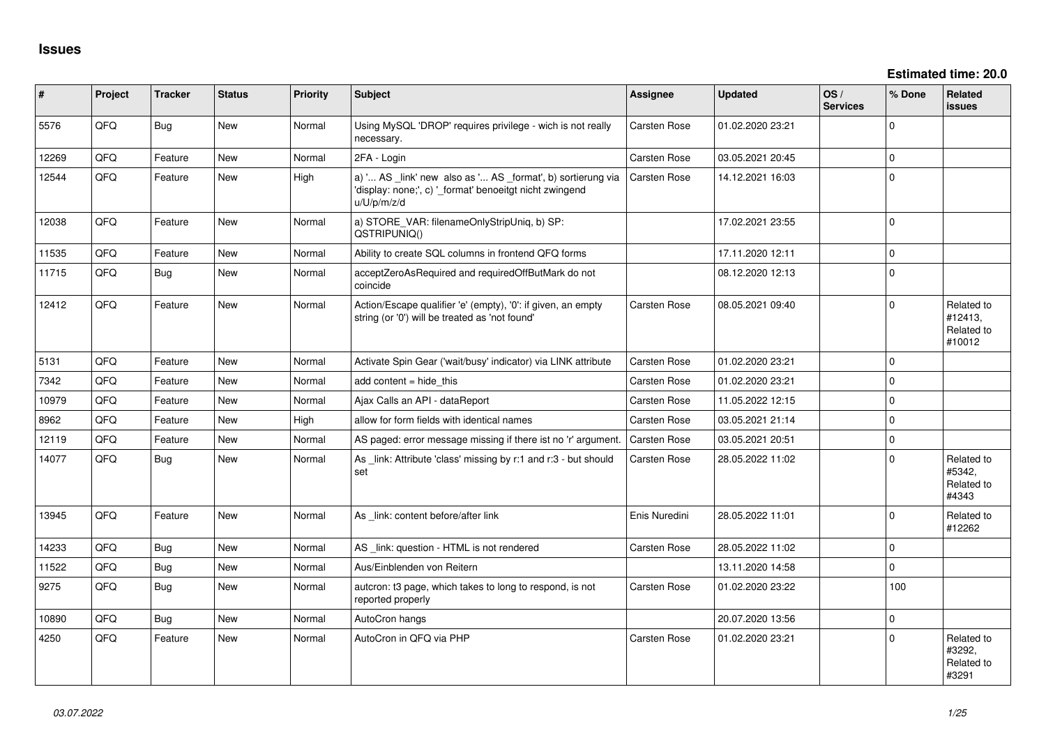| #     | Project | <b>Tracker</b> | <b>Status</b> | <b>Priority</b> | <b>Subject</b>                                                                                                                        | Assignee            | <b>Updated</b>   | OS/<br><b>Services</b> | % Done      | Related<br><b>issues</b>                      |
|-------|---------|----------------|---------------|-----------------|---------------------------------------------------------------------------------------------------------------------------------------|---------------------|------------------|------------------------|-------------|-----------------------------------------------|
| 5576  | QFQ     | <b>Bug</b>     | New           | Normal          | Using MySQL 'DROP' requires privilege - wich is not really<br>necessary.                                                              | Carsten Rose        | 01.02.2020 23:21 |                        | $\mathbf 0$ |                                               |
| 12269 | QFQ     | Feature        | <b>New</b>    | Normal          | 2FA - Login                                                                                                                           | Carsten Rose        | 03.05.2021 20:45 |                        | $\mathbf 0$ |                                               |
| 12544 | QFQ     | Feature        | <b>New</b>    | High            | a) ' AS _link' new also as ' AS _format', b) sortierung via<br>'display: none;', c) '_format' benoeitgt nicht zwingend<br>u/U/p/m/z/d | <b>Carsten Rose</b> | 14.12.2021 16:03 |                        | $\mathbf 0$ |                                               |
| 12038 | QFQ     | Feature        | <b>New</b>    | Normal          | a) STORE_VAR: filenameOnlyStripUniq, b) SP:<br>QSTRIPUNIQ()                                                                           |                     | 17.02.2021 23:55 |                        | $\mathbf 0$ |                                               |
| 11535 | QFQ     | Feature        | <b>New</b>    | Normal          | Ability to create SQL columns in frontend QFQ forms                                                                                   |                     | 17.11.2020 12:11 |                        | $\mathbf 0$ |                                               |
| 11715 | QFQ     | <b>Bug</b>     | New           | Normal          | acceptZeroAsRequired and requiredOffButMark do not<br>coincide                                                                        |                     | 08.12.2020 12:13 |                        | $\mathbf 0$ |                                               |
| 12412 | QFQ     | Feature        | New           | Normal          | Action/Escape qualifier 'e' (empty), '0': if given, an empty<br>string (or '0') will be treated as 'not found'                        | Carsten Rose        | 08.05.2021 09:40 |                        | $\mathbf 0$ | Related to<br>#12413,<br>Related to<br>#10012 |
| 5131  | QFQ     | Feature        | <b>New</b>    | Normal          | Activate Spin Gear ('wait/busy' indicator) via LINK attribute                                                                         | <b>Carsten Rose</b> | 01.02.2020 23:21 |                        | $\mathbf 0$ |                                               |
| 7342  | QFQ     | Feature        | <b>New</b>    | Normal          | add content $=$ hide this                                                                                                             | Carsten Rose        | 01.02.2020 23:21 |                        | $\Omega$    |                                               |
| 10979 | QFQ     | Feature        | <b>New</b>    | Normal          | Ajax Calls an API - dataReport                                                                                                        | <b>Carsten Rose</b> | 11.05.2022 12:15 |                        | $\Omega$    |                                               |
| 8962  | QFQ     | Feature        | <b>New</b>    | High            | allow for form fields with identical names                                                                                            | <b>Carsten Rose</b> | 03.05.2021 21:14 |                        | $\mathbf 0$ |                                               |
| 12119 | QFQ     | Feature        | New           | Normal          | AS paged: error message missing if there ist no 'r' argument.                                                                         | <b>Carsten Rose</b> | 03.05.2021 20:51 |                        | $\mathbf 0$ |                                               |
| 14077 | QFQ     | Bug            | <b>New</b>    | Normal          | As link: Attribute 'class' missing by r:1 and r:3 - but should<br>set                                                                 | Carsten Rose        | 28.05.2022 11:02 |                        | $\Omega$    | Related to<br>#5342,<br>Related to<br>#4343   |
| 13945 | QFQ     | Feature        | <b>New</b>    | Normal          | As link: content before/after link                                                                                                    | Enis Nuredini       | 28.05.2022 11:01 |                        | $\mathbf 0$ | Related to<br>#12262                          |
| 14233 | QFQ     | Bug            | <b>New</b>    | Normal          | AS _link: question - HTML is not rendered                                                                                             | <b>Carsten Rose</b> | 28.05.2022 11:02 |                        | $\mathbf 0$ |                                               |
| 11522 | QFQ     | Bug            | <b>New</b>    | Normal          | Aus/Einblenden von Reitern                                                                                                            |                     | 13.11.2020 14:58 |                        | $\mathbf 0$ |                                               |
| 9275  | QFQ     | Bug            | <b>New</b>    | Normal          | autoron: t3 page, which takes to long to respond, is not<br>reported properly                                                         | <b>Carsten Rose</b> | 01.02.2020 23:22 |                        | 100         |                                               |
| 10890 | QFQ     | <b>Bug</b>     | New           | Normal          | AutoCron hangs                                                                                                                        |                     | 20.07.2020 13:56 |                        | $\mathbf 0$ |                                               |
| 4250  | QFQ     | Feature        | New           | Normal          | AutoCron in QFQ via PHP                                                                                                               | Carsten Rose        | 01.02.2020 23:21 |                        | $\Omega$    | Related to<br>#3292,<br>Related to<br>#3291   |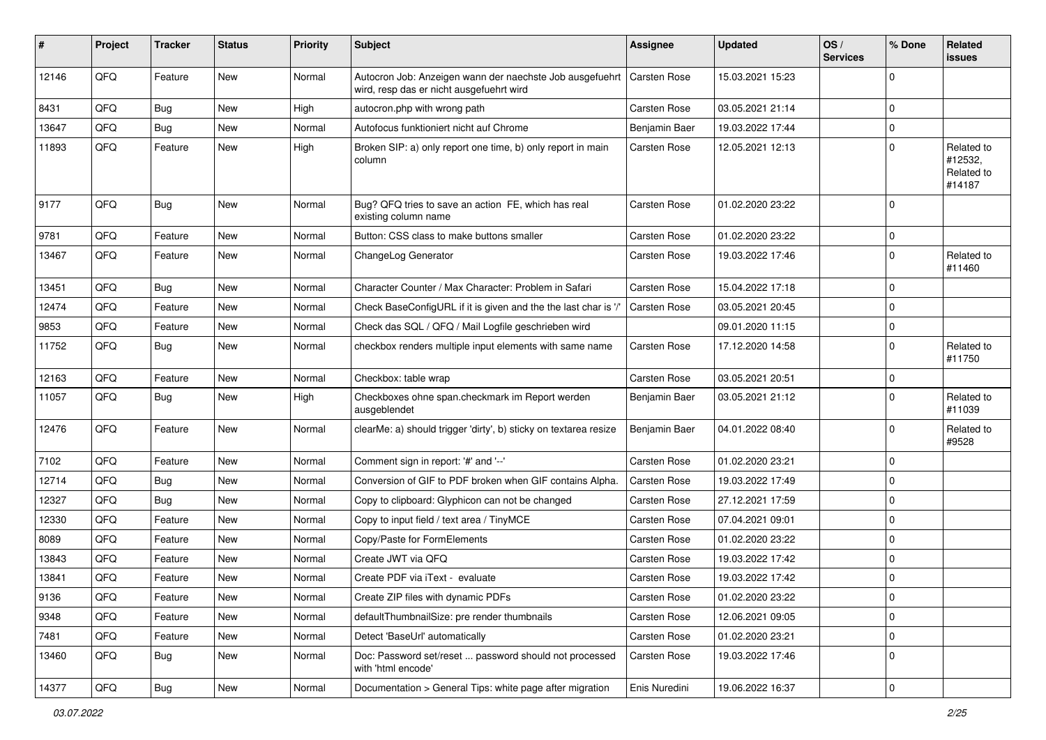| $\vert$ # | Project | <b>Tracker</b> | <b>Status</b> | <b>Priority</b> | Subject                                                                                              | <b>Assignee</b>     | <b>Updated</b>   | OS/<br><b>Services</b> | % Done         | Related<br>issues                             |
|-----------|---------|----------------|---------------|-----------------|------------------------------------------------------------------------------------------------------|---------------------|------------------|------------------------|----------------|-----------------------------------------------|
| 12146     | QFQ     | Feature        | New           | Normal          | Autocron Job: Anzeigen wann der naechste Job ausgefuehrt<br>wird, resp das er nicht ausgefuehrt wird | Carsten Rose        | 15.03.2021 15:23 |                        | $\mathbf 0$    |                                               |
| 8431      | QFQ     | Bug            | New           | High            | autocron.php with wrong path                                                                         | Carsten Rose        | 03.05.2021 21:14 |                        | $\mathbf 0$    |                                               |
| 13647     | QFQ     | Bug            | New           | Normal          | Autofocus funktioniert nicht auf Chrome                                                              | Benjamin Baer       | 19.03.2022 17:44 |                        | $\mathbf 0$    |                                               |
| 11893     | QFQ     | Feature        | New           | High            | Broken SIP: a) only report one time, b) only report in main<br>column                                | Carsten Rose        | 12.05.2021 12:13 |                        | $\mathbf 0$    | Related to<br>#12532,<br>Related to<br>#14187 |
| 9177      | QFQ     | <b>Bug</b>     | <b>New</b>    | Normal          | Bug? QFQ tries to save an action FE, which has real<br>existing column name                          | Carsten Rose        | 01.02.2020 23:22 |                        | $\mathbf 0$    |                                               |
| 9781      | QFQ     | Feature        | New           | Normal          | Button: CSS class to make buttons smaller                                                            | Carsten Rose        | 01.02.2020 23:22 |                        | $\pmb{0}$      |                                               |
| 13467     | QFQ     | Feature        | <b>New</b>    | Normal          | ChangeLog Generator                                                                                  | Carsten Rose        | 19.03.2022 17:46 |                        | $\mathbf 0$    | Related to<br>#11460                          |
| 13451     | QFQ     | Bug            | <b>New</b>    | Normal          | Character Counter / Max Character: Problem in Safari                                                 | Carsten Rose        | 15.04.2022 17:18 |                        | 0              |                                               |
| 12474     | QFQ     | Feature        | <b>New</b>    | Normal          | Check BaseConfigURL if it is given and the the last char is '/'                                      | Carsten Rose        | 03.05.2021 20:45 |                        | $\mathbf 0$    |                                               |
| 9853      | QFQ     | Feature        | New           | Normal          | Check das SQL / QFQ / Mail Logfile geschrieben wird                                                  |                     | 09.01.2020 11:15 |                        | $\mathbf 0$    |                                               |
| 11752     | QFQ     | Bug            | <b>New</b>    | Normal          | checkbox renders multiple input elements with same name                                              | Carsten Rose        | 17.12.2020 14:58 |                        | $\mathbf 0$    | Related to<br>#11750                          |
| 12163     | QFQ     | Feature        | <b>New</b>    | Normal          | Checkbox: table wrap                                                                                 | Carsten Rose        | 03.05.2021 20:51 |                        | $\mathbf 0$    |                                               |
| 11057     | QFQ     | Bug            | <b>New</b>    | High            | Checkboxes ohne span.checkmark im Report werden<br>ausgeblendet                                      | Benjamin Baer       | 03.05.2021 21:12 |                        | $\mathbf 0$    | Related to<br>#11039                          |
| 12476     | QFQ     | Feature        | New           | Normal          | clearMe: a) should trigger 'dirty', b) sticky on textarea resize                                     | Benjamin Baer       | 04.01.2022 08:40 |                        | $\mathbf 0$    | Related to<br>#9528                           |
| 7102      | QFQ     | Feature        | New           | Normal          | Comment sign in report: '#' and '--'                                                                 | Carsten Rose        | 01.02.2020 23:21 |                        | 0              |                                               |
| 12714     | QFQ     | Bug            | New           | Normal          | Conversion of GIF to PDF broken when GIF contains Alpha.                                             | Carsten Rose        | 19.03.2022 17:49 |                        | $\mathbf 0$    |                                               |
| 12327     | QFQ     | Bug            | New           | Normal          | Copy to clipboard: Glyphicon can not be changed                                                      | Carsten Rose        | 27.12.2021 17:59 |                        | $\mathbf 0$    |                                               |
| 12330     | QFQ     | Feature        | New           | Normal          | Copy to input field / text area / TinyMCE                                                            | Carsten Rose        | 07.04.2021 09:01 |                        | $\mathbf 0$    |                                               |
| 8089      | QFQ     | Feature        | <b>New</b>    | Normal          | Copy/Paste for FormElements                                                                          | <b>Carsten Rose</b> | 01.02.2020 23:22 |                        | 0              |                                               |
| 13843     | QFQ     | Feature        | New           | Normal          | Create JWT via QFQ                                                                                   | Carsten Rose        | 19.03.2022 17:42 |                        | 0              |                                               |
| 13841     | QFQ     | Feature        | New           | Normal          | Create PDF via iText - evaluate                                                                      | Carsten Rose        | 19.03.2022 17:42 |                        | $\mathbf 0$    |                                               |
| 9136      | QFQ     | Feature        | New           | Normal          | Create ZIP files with dynamic PDFs                                                                   | Carsten Rose        | 01.02.2020 23:22 |                        | $\overline{0}$ |                                               |
| 9348      | QFQ     | Feature        | New           | Normal          | defaultThumbnailSize: pre render thumbnails                                                          | Carsten Rose        | 12.06.2021 09:05 |                        | $\mathbf 0$    |                                               |
| 7481      | QFQ     | Feature        | New           | Normal          | Detect 'BaseUrl' automatically                                                                       | Carsten Rose        | 01.02.2020 23:21 |                        | $\mathbf 0$    |                                               |
| 13460     | QFQ     | <b>Bug</b>     | New           | Normal          | Doc: Password set/reset  password should not processed<br>with 'html encode'                         | Carsten Rose        | 19.03.2022 17:46 |                        | $\mathbf 0$    |                                               |
| 14377     | QFQ     | Bug            | New           | Normal          | Documentation > General Tips: white page after migration                                             | Enis Nuredini       | 19.06.2022 16:37 |                        | $\pmb{0}$      |                                               |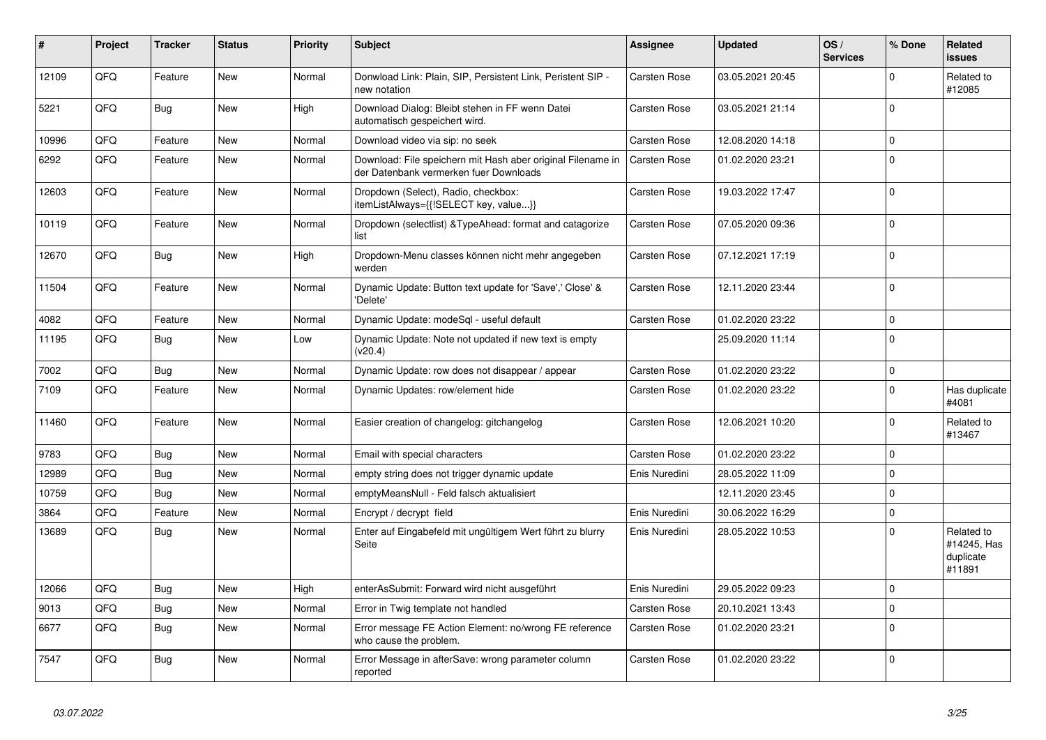| #     | Project | <b>Tracker</b> | <b>Status</b> | <b>Priority</b> | <b>Subject</b>                                                                                        | <b>Assignee</b>     | <b>Updated</b>   | OS/<br><b>Services</b> | % Done      | Related<br>issues                                |
|-------|---------|----------------|---------------|-----------------|-------------------------------------------------------------------------------------------------------|---------------------|------------------|------------------------|-------------|--------------------------------------------------|
| 12109 | QFQ     | Feature        | <b>New</b>    | Normal          | Donwload Link: Plain, SIP, Persistent Link, Peristent SIP -<br>new notation                           | Carsten Rose        | 03.05.2021 20:45 |                        | $\Omega$    | Related to<br>#12085                             |
| 5221  | QFQ     | <b>Bug</b>     | <b>New</b>    | High            | Download Dialog: Bleibt stehen in FF wenn Datei<br>automatisch gespeichert wird.                      | Carsten Rose        | 03.05.2021 21:14 |                        | $\Omega$    |                                                  |
| 10996 | QFQ     | Feature        | New           | Normal          | Download video via sip: no seek                                                                       | Carsten Rose        | 12.08.2020 14:18 |                        | $\Omega$    |                                                  |
| 6292  | QFQ     | Feature        | New           | Normal          | Download: File speichern mit Hash aber original Filename in<br>der Datenbank vermerken fuer Downloads | Carsten Rose        | 01.02.2020 23:21 |                        | $\Omega$    |                                                  |
| 12603 | QFQ     | Feature        | New           | Normal          | Dropdown (Select), Radio, checkbox:<br>itemListAlways={{!SELECT key, value}}                          | Carsten Rose        | 19.03.2022 17:47 |                        | $\Omega$    |                                                  |
| 10119 | QFQ     | Feature        | <b>New</b>    | Normal          | Dropdown (selectlist) & Type Ahead: format and catagorize<br>list                                     | <b>Carsten Rose</b> | 07.05.2020 09:36 |                        | $\Omega$    |                                                  |
| 12670 | QFQ     | Bug            | <b>New</b>    | High            | Dropdown-Menu classes können nicht mehr angegeben<br>werden                                           | Carsten Rose        | 07.12.2021 17:19 |                        | $\Omega$    |                                                  |
| 11504 | QFQ     | Feature        | New           | Normal          | Dynamic Update: Button text update for 'Save',' Close' &<br>'Delete'                                  | Carsten Rose        | 12.11.2020 23:44 |                        | $\Omega$    |                                                  |
| 4082  | QFQ     | Feature        | New           | Normal          | Dynamic Update: modeSql - useful default                                                              | Carsten Rose        | 01.02.2020 23:22 |                        | $\Omega$    |                                                  |
| 11195 | QFQ     | <b>Bug</b>     | New           | Low             | Dynamic Update: Note not updated if new text is empty<br>(v20.4)                                      |                     | 25.09.2020 11:14 |                        | $\Omega$    |                                                  |
| 7002  | QFQ     | Bug            | <b>New</b>    | Normal          | Dynamic Update: row does not disappear / appear                                                       | Carsten Rose        | 01.02.2020 23:22 |                        | $\mathbf 0$ |                                                  |
| 7109  | QFQ     | Feature        | New           | Normal          | Dynamic Updates: row/element hide                                                                     | Carsten Rose        | 01.02.2020 23:22 |                        | $\Omega$    | Has duplicate<br>#4081                           |
| 11460 | QFQ     | Feature        | <b>New</b>    | Normal          | Easier creation of changelog: gitchangelog                                                            | Carsten Rose        | 12.06.2021 10:20 |                        | $\Omega$    | Related to<br>#13467                             |
| 9783  | QFQ     | <b>Bug</b>     | <b>New</b>    | Normal          | Email with special characters                                                                         | <b>Carsten Rose</b> | 01.02.2020 23:22 |                        | $\mathbf 0$ |                                                  |
| 12989 | QFQ     | <b>Bug</b>     | <b>New</b>    | Normal          | empty string does not trigger dynamic update                                                          | Enis Nuredini       | 28.05.2022 11:09 |                        | $\Omega$    |                                                  |
| 10759 | QFQ     | Bug            | <b>New</b>    | Normal          | emptyMeansNull - Feld falsch aktualisiert                                                             |                     | 12.11.2020 23:45 |                        | $\Omega$    |                                                  |
| 3864  | QFQ     | Feature        | <b>New</b>    | Normal          | Encrypt / decrypt field                                                                               | Enis Nuredini       | 30.06.2022 16:29 |                        | $\Omega$    |                                                  |
| 13689 | QFQ     | <b>Bug</b>     | New           | Normal          | Enter auf Eingabefeld mit ungültigem Wert führt zu blurry<br>Seite                                    | Enis Nuredini       | 28.05.2022 10:53 |                        | $\Omega$    | Related to<br>#14245, Has<br>duplicate<br>#11891 |
| 12066 | QFQ     | <b>Bug</b>     | <b>New</b>    | High            | enterAsSubmit: Forward wird nicht ausgeführt                                                          | Enis Nuredini       | 29.05.2022 09:23 |                        | $\Omega$    |                                                  |
| 9013  | QFQ     | Bug            | <b>New</b>    | Normal          | Error in Twig template not handled                                                                    | Carsten Rose        | 20.10.2021 13:43 |                        | $\Omega$    |                                                  |
| 6677  | QFQ     | <b>Bug</b>     | <b>New</b>    | Normal          | Error message FE Action Element: no/wrong FE reference<br>who cause the problem.                      | Carsten Rose        | 01.02.2020 23:21 |                        | $\Omega$    |                                                  |
| 7547  | QFQ     | <b>Bug</b>     | <b>New</b>    | Normal          | Error Message in afterSave: wrong parameter column<br>reported                                        | Carsten Rose        | 01.02.2020 23:22 |                        | $\Omega$    |                                                  |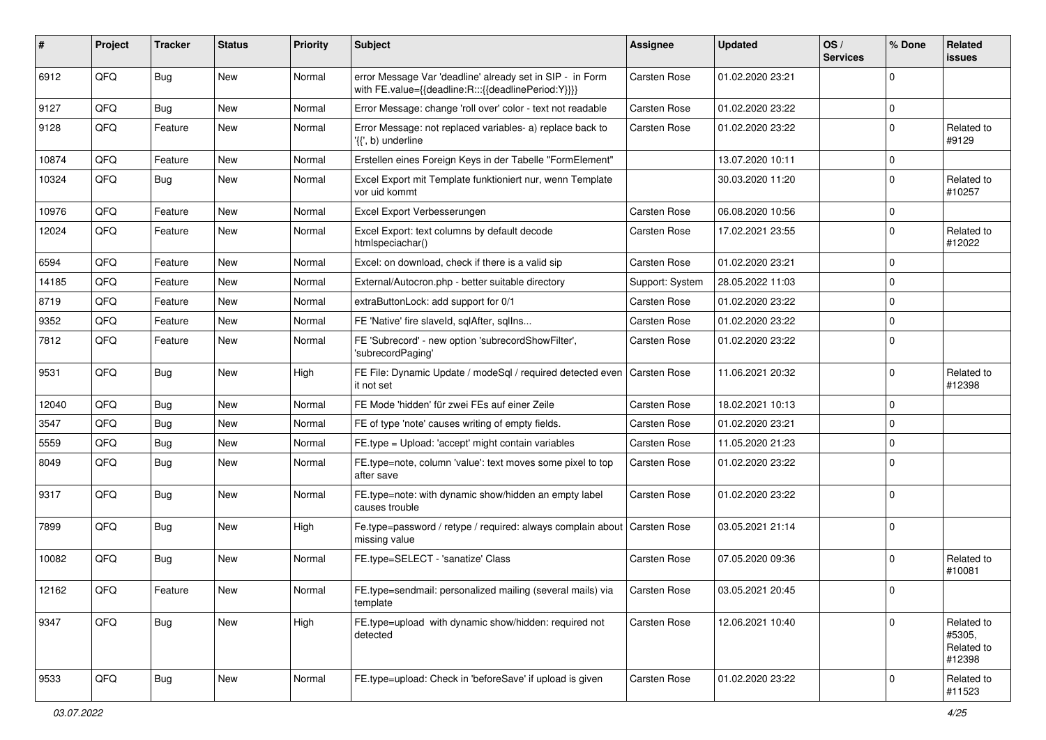| #     | Project | <b>Tracker</b> | <b>Status</b> | <b>Priority</b> | <b>Subject</b>                                                                                                   | <b>Assignee</b>     | <b>Updated</b>   | OS/<br><b>Services</b> | % Done       | <b>Related</b><br><b>issues</b>              |
|-------|---------|----------------|---------------|-----------------|------------------------------------------------------------------------------------------------------------------|---------------------|------------------|------------------------|--------------|----------------------------------------------|
| 6912  | QFQ     | Bug            | New           | Normal          | error Message Var 'deadline' already set in SIP - in Form<br>with FE.value={{deadline:R:::{{deadlinePeriod:Y}}}} | Carsten Rose        | 01.02.2020 23:21 |                        | $\Omega$     |                                              |
| 9127  | QFQ     | <b>Bug</b>     | <b>New</b>    | Normal          | Error Message: change 'roll over' color - text not readable                                                      | Carsten Rose        | 01.02.2020 23:22 |                        | $\Omega$     |                                              |
| 9128  | QFQ     | Feature        | New           | Normal          | Error Message: not replaced variables- a) replace back to<br>'{{', b) underline                                  | Carsten Rose        | 01.02.2020 23:22 |                        | $\mathbf 0$  | Related to<br>#9129                          |
| 10874 | QFQ     | Feature        | New           | Normal          | Erstellen eines Foreign Keys in der Tabelle "FormElement"                                                        |                     | 13.07.2020 10:11 |                        | $\Omega$     |                                              |
| 10324 | QFQ     | Bug            | New           | Normal          | Excel Export mit Template funktioniert nur, wenn Template<br>vor uid kommt                                       |                     | 30.03.2020 11:20 |                        | $\mathbf 0$  | Related to<br>#10257                         |
| 10976 | QFQ     | Feature        | New           | Normal          | Excel Export Verbesserungen                                                                                      | <b>Carsten Rose</b> | 06.08.2020 10:56 |                        | $\mathbf 0$  |                                              |
| 12024 | QFQ     | Feature        | New           | Normal          | Excel Export: text columns by default decode<br>htmlspeciachar()                                                 | Carsten Rose        | 17.02.2021 23:55 |                        | $\mathbf 0$  | Related to<br>#12022                         |
| 6594  | QFQ     | Feature        | New           | Normal          | Excel: on download, check if there is a valid sip                                                                | Carsten Rose        | 01.02.2020 23:21 |                        | $\mathbf 0$  |                                              |
| 14185 | QFQ     | Feature        | New           | Normal          | External/Autocron.php - better suitable directory                                                                | Support: System     | 28.05.2022 11:03 |                        | $\Omega$     |                                              |
| 8719  | QFQ     | Feature        | New           | Normal          | extraButtonLock: add support for 0/1                                                                             | Carsten Rose        | 01.02.2020 23:22 |                        | $\Omega$     |                                              |
| 9352  | QFQ     | Feature        | New           | Normal          | FE 'Native' fire slaveld, sqlAfter, sqlIns                                                                       | Carsten Rose        | 01.02.2020 23:22 |                        | $\mathbf{0}$ |                                              |
| 7812  | QFQ     | Feature        | New           | Normal          | FE 'Subrecord' - new option 'subrecordShowFilter',<br>'subrecordPaging'                                          | Carsten Rose        | 01.02.2020 23:22 |                        | $\Omega$     |                                              |
| 9531  | QFQ     | Bug            | New           | High            | FE File: Dynamic Update / modeSql / required detected even   Carsten Rose<br>it not set                          |                     | 11.06.2021 20:32 |                        | $\mathbf 0$  | Related to<br>#12398                         |
| 12040 | QFQ     | <b>Bug</b>     | New           | Normal          | FE Mode 'hidden' für zwei FEs auf einer Zeile                                                                    | <b>Carsten Rose</b> | 18.02.2021 10:13 |                        | 0            |                                              |
| 3547  | QFQ     | Bug            | New           | Normal          | FE of type 'note' causes writing of empty fields.                                                                | Carsten Rose        | 01.02.2020 23:21 |                        | $\Omega$     |                                              |
| 5559  | QFQ     | <b>Bug</b>     | New           | Normal          | FE.type = Upload: 'accept' might contain variables                                                               | Carsten Rose        | 11.05.2020 21:23 |                        | $\Omega$     |                                              |
| 8049  | QFQ     | <b>Bug</b>     | New           | Normal          | FE.type=note, column 'value': text moves some pixel to top<br>after save                                         | Carsten Rose        | 01.02.2020 23:22 |                        | $\mathbf 0$  |                                              |
| 9317  | QFQ     | <b>Bug</b>     | New           | Normal          | FE.type=note: with dynamic show/hidden an empty label<br>causes trouble                                          | Carsten Rose        | 01.02.2020 23:22 |                        | $\Omega$     |                                              |
| 7899  | QFQ     | Bug            | New           | High            | Fe.type=password / retype / required: always complain about<br>missing value                                     | Carsten Rose        | 03.05.2021 21:14 |                        | $\Omega$     |                                              |
| 10082 | QFQ     | <b>Bug</b>     | <b>New</b>    | Normal          | FE.type=SELECT - 'sanatize' Class                                                                                | <b>Carsten Rose</b> | 07.05.2020 09:36 |                        | $\mathbf 0$  | Related to<br>#10081                         |
| 12162 | QFQ     | Feature        | New           | Normal          | FE.type=sendmail: personalized mailing (several mails) via<br>template                                           | Carsten Rose        | 03.05.2021 20:45 |                        | $\mathbf 0$  |                                              |
| 9347  | QFQ     | Bug            | New           | High            | FE.type=upload with dynamic show/hidden: required not<br>detected                                                | Carsten Rose        | 12.06.2021 10:40 |                        | $\mathbf 0$  | Related to<br>#5305,<br>Related to<br>#12398 |
| 9533  | QFQ     | <b>Bug</b>     | New           | Normal          | FE.type=upload: Check in 'beforeSave' if upload is given                                                         | Carsten Rose        | 01.02.2020 23:22 |                        | 0            | Related to<br>#11523                         |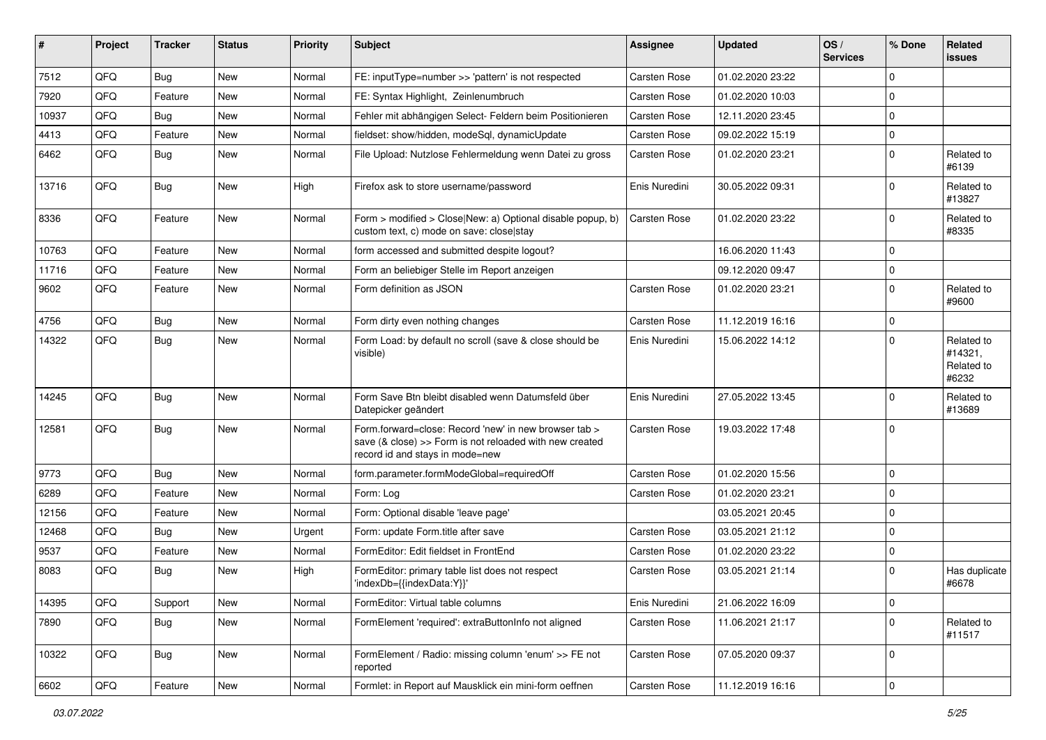| #     | Project | <b>Tracker</b> | <b>Status</b> | <b>Priority</b> | Subject                                                                                                                                             | <b>Assignee</b>     | <b>Updated</b>   | OS/<br><b>Services</b> | % Done      | Related<br><b>issues</b>                     |
|-------|---------|----------------|---------------|-----------------|-----------------------------------------------------------------------------------------------------------------------------------------------------|---------------------|------------------|------------------------|-------------|----------------------------------------------|
| 7512  | QFQ     | Bug            | <b>New</b>    | Normal          | FE: inputType=number >> 'pattern' is not respected                                                                                                  | <b>Carsten Rose</b> | 01.02.2020 23:22 |                        | 0           |                                              |
| 7920  | QFQ     | Feature        | <b>New</b>    | Normal          | FE: Syntax Highlight, Zeinlenumbruch                                                                                                                | <b>Carsten Rose</b> | 01.02.2020 10:03 |                        | 0           |                                              |
| 10937 | QFQ     | <b>Bug</b>     | <b>New</b>    | Normal          | Fehler mit abhängigen Select- Feldern beim Positionieren                                                                                            | <b>Carsten Rose</b> | 12.11.2020 23:45 |                        | 0           |                                              |
| 4413  | QFQ     | Feature        | <b>New</b>    | Normal          | fieldset: show/hidden, modeSql, dynamicUpdate                                                                                                       | <b>Carsten Rose</b> | 09.02.2022 15:19 |                        | 0           |                                              |
| 6462  | QFQ     | Bug            | <b>New</b>    | Normal          | File Upload: Nutzlose Fehlermeldung wenn Datei zu gross                                                                                             | Carsten Rose        | 01.02.2020 23:21 |                        | 0           | Related to<br>#6139                          |
| 13716 | QFQ     | Bug            | <b>New</b>    | High            | Firefox ask to store username/password                                                                                                              | Enis Nuredini       | 30.05.2022 09:31 |                        | 0           | Related to<br>#13827                         |
| 8336  | QFQ     | Feature        | <b>New</b>    | Normal          | Form > modified > Close New: a) Optional disable popup, b)<br>custom text, c) mode on save: close stay                                              | Carsten Rose        | 01.02.2020 23:22 |                        | 0           | Related to<br>#8335                          |
| 10763 | QFQ     | Feature        | <b>New</b>    | Normal          | form accessed and submitted despite logout?                                                                                                         |                     | 16.06.2020 11:43 |                        | 0           |                                              |
| 11716 | QFQ     | Feature        | <b>New</b>    | Normal          | Form an beliebiger Stelle im Report anzeigen                                                                                                        |                     | 09.12.2020 09:47 |                        | 0           |                                              |
| 9602  | QFQ     | Feature        | New           | Normal          | Form definition as JSON                                                                                                                             | <b>Carsten Rose</b> | 01.02.2020 23:21 |                        | 0           | Related to<br>#9600                          |
| 4756  | QFQ     | Bug            | New           | Normal          | Form dirty even nothing changes                                                                                                                     | <b>Carsten Rose</b> | 11.12.2019 16:16 |                        | 0           |                                              |
| 14322 | QFQ     | Bug            | <b>New</b>    | Normal          | Form Load: by default no scroll (save & close should be<br>visible)                                                                                 | Enis Nuredini       | 15.06.2022 14:12 |                        | $\Omega$    | Related to<br>#14321,<br>Related to<br>#6232 |
| 14245 | QFQ     | Bug            | <b>New</b>    | Normal          | Form Save Btn bleibt disabled wenn Datumsfeld über<br>Datepicker geändert                                                                           | Enis Nuredini       | 27.05.2022 13:45 |                        | 0           | Related to<br>#13689                         |
| 12581 | QFQ     | Bug            | <b>New</b>    | Normal          | Form.forward=close: Record 'new' in new browser tab ><br>save (& close) >> Form is not reloaded with new created<br>record id and stays in mode=new | Carsten Rose        | 19.03.2022 17:48 |                        | 0           |                                              |
| 9773  | QFQ     | Bug            | <b>New</b>    | Normal          | form.parameter.formModeGlobal=requiredOff                                                                                                           | Carsten Rose        | 01.02.2020 15:56 |                        | 0           |                                              |
| 6289  | QFQ     | Feature        | <b>New</b>    | Normal          | Form: Log                                                                                                                                           | Carsten Rose        | 01.02.2020 23:21 |                        | 0           |                                              |
| 12156 | QFQ     | Feature        | New           | Normal          | Form: Optional disable 'leave page'                                                                                                                 |                     | 03.05.2021 20:45 |                        | 0           |                                              |
| 12468 | QFQ     | <b>Bug</b>     | <b>New</b>    | Urgent          | Form: update Form.title after save                                                                                                                  | <b>Carsten Rose</b> | 03.05.2021 21:12 |                        | 0           |                                              |
| 9537  | QFQ     | Feature        | <b>New</b>    | Normal          | FormEditor: Edit fieldset in FrontEnd                                                                                                               | <b>Carsten Rose</b> | 01.02.2020 23:22 |                        | 0           |                                              |
| 8083  | QFQ     | Bug            | <b>New</b>    | High            | FormEditor: primary table list does not respect<br>'indexDb={{indexData:Y}}'                                                                        | Carsten Rose        | 03.05.2021 21:14 |                        | 0           | Has duplicate<br>#6678                       |
| 14395 | QFQ     | Support        | New           | Normal          | FormEditor: Virtual table columns                                                                                                                   | Enis Nuredini       | 21.06.2022 16:09 |                        | $\mathbf 0$ |                                              |
| 7890  | QFQ     | Bug            | New           | Normal          | FormElement 'required': extraButtonInfo not aligned                                                                                                 | Carsten Rose        | 11.06.2021 21:17 |                        | $\mathbf 0$ | Related to<br>#11517                         |
| 10322 | QFQ     | Bug            | New           | Normal          | FormElement / Radio: missing column 'enum' >> FE not<br>reported                                                                                    | Carsten Rose        | 07.05.2020 09:37 |                        | 0           |                                              |
| 6602  | QFQ     | Feature        | New           | Normal          | Formlet: in Report auf Mausklick ein mini-form oeffnen                                                                                              | Carsten Rose        | 11.12.2019 16:16 |                        | $\mathbf 0$ |                                              |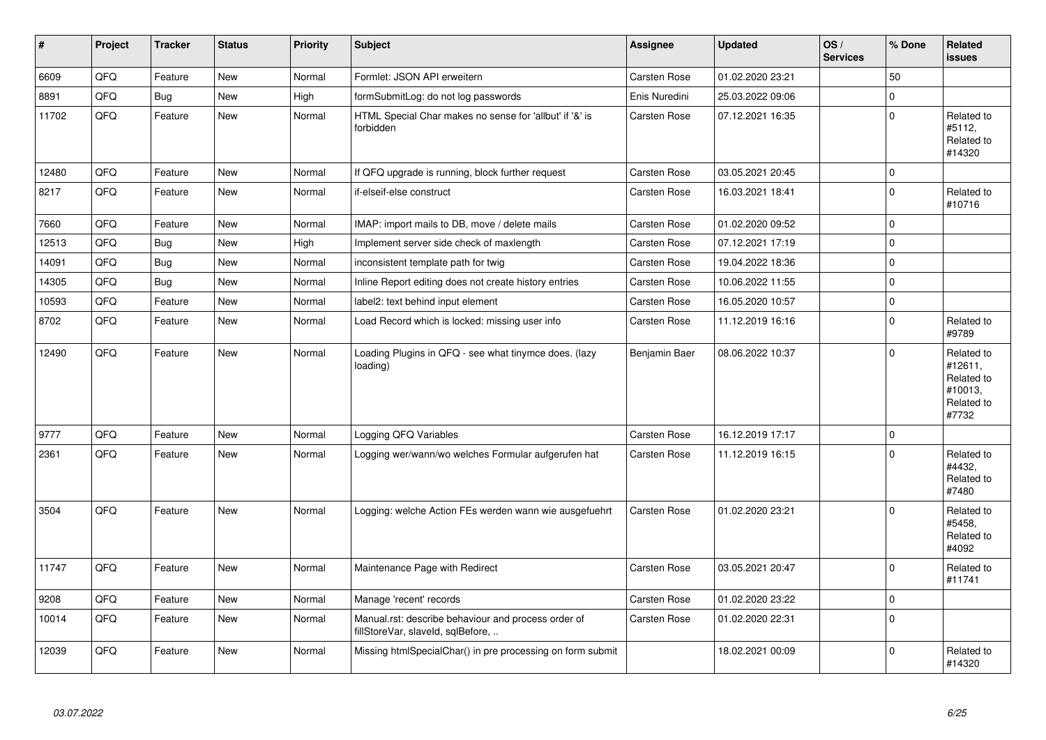| $\vert$ # | Project | <b>Tracker</b> | <b>Status</b> | <b>Priority</b> | <b>Subject</b>                                                                           | <b>Assignee</b> | <b>Updated</b>   | OS/<br><b>Services</b> | % Done      | Related<br>issues                                                     |
|-----------|---------|----------------|---------------|-----------------|------------------------------------------------------------------------------------------|-----------------|------------------|------------------------|-------------|-----------------------------------------------------------------------|
| 6609      | QFQ     | Feature        | <b>New</b>    | Normal          | Formlet: JSON API erweitern                                                              | Carsten Rose    | 01.02.2020 23:21 |                        | 50          |                                                                       |
| 8891      | QFQ     | <b>Bug</b>     | New           | High            | formSubmitLog: do not log passwords                                                      | Enis Nuredini   | 25.03.2022 09:06 |                        | $\pmb{0}$   |                                                                       |
| 11702     | QFQ     | Feature        | New           | Normal          | HTML Special Char makes no sense for 'allbut' if '&' is<br>forbidden                     | Carsten Rose    | 07.12.2021 16:35 |                        | $\pmb{0}$   | Related to<br>#5112,<br>Related to<br>#14320                          |
| 12480     | QFQ     | Feature        | New           | Normal          | If QFQ upgrade is running, block further request                                         | Carsten Rose    | 03.05.2021 20:45 |                        | $\pmb{0}$   |                                                                       |
| 8217      | QFQ     | Feature        | New           | Normal          | if-elseif-else construct                                                                 | Carsten Rose    | 16.03.2021 18:41 |                        | $\pmb{0}$   | Related to<br>#10716                                                  |
| 7660      | QFQ     | Feature        | <b>New</b>    | Normal          | IMAP: import mails to DB, move / delete mails                                            | Carsten Rose    | 01.02.2020 09:52 |                        | $\pmb{0}$   |                                                                       |
| 12513     | QFQ     | Bug            | New           | High            | Implement server side check of maxlength                                                 | Carsten Rose    | 07.12.2021 17:19 |                        | $\pmb{0}$   |                                                                       |
| 14091     | QFQ     | <b>Bug</b>     | <b>New</b>    | Normal          | inconsistent template path for twig                                                      | Carsten Rose    | 19.04.2022 18:36 |                        | $\mathbf 0$ |                                                                       |
| 14305     | QFQ     | Bug            | <b>New</b>    | Normal          | Inline Report editing does not create history entries                                    | Carsten Rose    | 10.06.2022 11:55 |                        | $\pmb{0}$   |                                                                       |
| 10593     | QFQ     | Feature        | <b>New</b>    | Normal          | label2: text behind input element                                                        | Carsten Rose    | 16.05.2020 10:57 |                        | $\pmb{0}$   |                                                                       |
| 8702      | QFQ     | Feature        | <b>New</b>    | Normal          | Load Record which is locked: missing user info                                           | Carsten Rose    | 11.12.2019 16:16 |                        | $\mathbf 0$ | Related to<br>#9789                                                   |
| 12490     | QFQ     | Feature        | <b>New</b>    | Normal          | Loading Plugins in QFQ - see what tinymce does. (lazy<br>loading)                        | Benjamin Baer   | 08.06.2022 10:37 |                        | $\mathbf 0$ | Related to<br>#12611.<br>Related to<br>#10013,<br>Related to<br>#7732 |
| 9777      | QFQ     | Feature        | <b>New</b>    | Normal          | Logging QFQ Variables                                                                    | Carsten Rose    | 16.12.2019 17:17 |                        | $\pmb{0}$   |                                                                       |
| 2361      | QFQ     | Feature        | <b>New</b>    | Normal          | Logging wer/wann/wo welches Formular aufgerufen hat                                      | Carsten Rose    | 11.12.2019 16:15 |                        | $\pmb{0}$   | Related to<br>#4432,<br>Related to<br>#7480                           |
| 3504      | QFQ     | Feature        | <b>New</b>    | Normal          | Logging: welche Action FEs werden wann wie ausgefuehrt                                   | Carsten Rose    | 01.02.2020 23:21 |                        | $\mathbf 0$ | Related to<br>#5458,<br>Related to<br>#4092                           |
| 11747     | QFQ     | Feature        | New           | Normal          | Maintenance Page with Redirect                                                           | Carsten Rose    | 03.05.2021 20:47 |                        | $\pmb{0}$   | Related to<br>#11741                                                  |
| 9208      | QFQ     | Feature        | <b>New</b>    | Normal          | Manage 'recent' records                                                                  | Carsten Rose    | 01.02.2020 23:22 |                        | $\pmb{0}$   |                                                                       |
| 10014     | QFQ     | Feature        | New           | Normal          | Manual.rst: describe behaviour and process order of<br>fillStoreVar, slaveld, sqlBefore, | Carsten Rose    | 01.02.2020 22:31 |                        | $\pmb{0}$   |                                                                       |
| 12039     | QFQ     | Feature        | <b>New</b>    | Normal          | Missing htmlSpecialChar() in pre processing on form submit                               |                 | 18.02.2021 00:09 |                        | $\mathbf 0$ | Related to<br>#14320                                                  |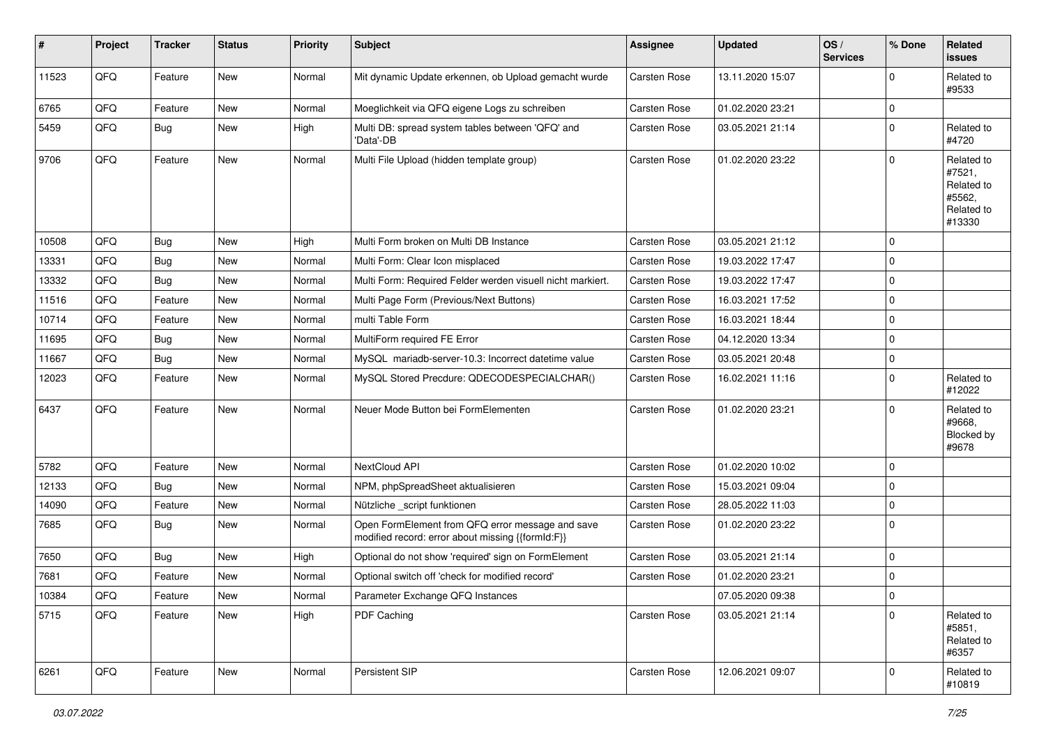| ∦     | Project | <b>Tracker</b> | <b>Status</b> | <b>Priority</b> | Subject                                                                                               | <b>Assignee</b>     | <b>Updated</b>   | OS/<br><b>Services</b> | % Done      | Related<br><b>issues</b>                                             |
|-------|---------|----------------|---------------|-----------------|-------------------------------------------------------------------------------------------------------|---------------------|------------------|------------------------|-------------|----------------------------------------------------------------------|
| 11523 | QFQ     | Feature        | New           | Normal          | Mit dynamic Update erkennen, ob Upload gemacht wurde                                                  | Carsten Rose        | 13.11.2020 15:07 |                        | $\mathbf 0$ | Related to<br>#9533                                                  |
| 6765  | QFQ     | Feature        | <b>New</b>    | Normal          | Moeglichkeit via QFQ eigene Logs zu schreiben                                                         | Carsten Rose        | 01.02.2020 23:21 |                        | $\mathbf 0$ |                                                                      |
| 5459  | QFQ     | Bug            | <b>New</b>    | High            | Multi DB: spread system tables between 'QFQ' and<br>'Data'-DB                                         | Carsten Rose        | 03.05.2021 21:14 |                        | $\mathbf 0$ | Related to<br>#4720                                                  |
| 9706  | QFQ     | Feature        | <b>New</b>    | Normal          | Multi File Upload (hidden template group)                                                             | Carsten Rose        | 01.02.2020 23:22 |                        | $\mathbf 0$ | Related to<br>#7521,<br>Related to<br>#5562,<br>Related to<br>#13330 |
| 10508 | QFQ     | Bug            | New           | High            | Multi Form broken on Multi DB Instance                                                                | <b>Carsten Rose</b> | 03.05.2021 21:12 |                        | $\mathbf 0$ |                                                                      |
| 13331 | QFQ     | Bug            | <b>New</b>    | Normal          | Multi Form: Clear Icon misplaced                                                                      | Carsten Rose        | 19.03.2022 17:47 |                        | $\mathbf 0$ |                                                                      |
| 13332 | QFQ     | Bug            | <b>New</b>    | Normal          | Multi Form: Required Felder werden visuell nicht markiert.                                            | Carsten Rose        | 19.03.2022 17:47 |                        | $\mathbf 0$ |                                                                      |
| 11516 | QFQ     | Feature        | <b>New</b>    | Normal          | Multi Page Form (Previous/Next Buttons)                                                               | Carsten Rose        | 16.03.2021 17:52 |                        | $\mathbf 0$ |                                                                      |
| 10714 | QFQ     | Feature        | New           | Normal          | multi Table Form                                                                                      | Carsten Rose        | 16.03.2021 18:44 |                        | $\mathbf 0$ |                                                                      |
| 11695 | QFQ     | Bug            | <b>New</b>    | Normal          | MultiForm required FE Error                                                                           | Carsten Rose        | 04.12.2020 13:34 |                        | $\mathbf 0$ |                                                                      |
| 11667 | QFQ     | Bug            | <b>New</b>    | Normal          | MySQL mariadb-server-10.3: Incorrect datetime value                                                   | Carsten Rose        | 03.05.2021 20:48 |                        | $\mathbf 0$ |                                                                      |
| 12023 | QFQ     | Feature        | New           | Normal          | MySQL Stored Precdure: QDECODESPECIALCHAR()                                                           | Carsten Rose        | 16.02.2021 11:16 |                        | $\mathbf 0$ | Related to<br>#12022                                                 |
| 6437  | QFQ     | Feature        | New           | Normal          | Neuer Mode Button bei FormElementen                                                                   | Carsten Rose        | 01.02.2020 23:21 |                        | $\mathbf 0$ | Related to<br>#9668,<br>Blocked by<br>#9678                          |
| 5782  | QFQ     | Feature        | <b>New</b>    | Normal          | NextCloud API                                                                                         | <b>Carsten Rose</b> | 01.02.2020 10:02 |                        | $\mathbf 0$ |                                                                      |
| 12133 | QFQ     | Bug            | <b>New</b>    | Normal          | NPM, phpSpreadSheet aktualisieren                                                                     | Carsten Rose        | 15.03.2021 09:04 |                        | $\mathbf 0$ |                                                                      |
| 14090 | QFQ     | Feature        | New           | Normal          | Nützliche _script funktionen                                                                          | Carsten Rose        | 28.05.2022 11:03 |                        | $\mathbf 0$ |                                                                      |
| 7685  | QFQ     | Bug            | <b>New</b>    | Normal          | Open FormElement from QFQ error message and save<br>modified record: error about missing {{formId:F}} | Carsten Rose        | 01.02.2020 23:22 |                        | $\mathbf 0$ |                                                                      |
| 7650  | QFQ     | <b>Bug</b>     | <b>New</b>    | High            | Optional do not show 'required' sign on FormElement                                                   | Carsten Rose        | 03.05.2021 21:14 |                        | $\mathbf 0$ |                                                                      |
| 7681  | QFQ     | Feature        | <b>New</b>    | Normal          | Optional switch off 'check for modified record'                                                       | Carsten Rose        | 01.02.2020 23:21 |                        | 0           |                                                                      |
| 10384 | QFQ     | Feature        | <b>New</b>    | Normal          | Parameter Exchange QFQ Instances                                                                      |                     | 07.05.2020 09:38 |                        | O           |                                                                      |
| 5715  | QFQ     | Feature        | New           | High            | PDF Caching                                                                                           | Carsten Rose        | 03.05.2021 21:14 |                        | $\pmb{0}$   | Related to<br>#5851,<br>Related to<br>#6357                          |
| 6261  | QFQ     | Feature        | New           | Normal          | Persistent SIP                                                                                        | Carsten Rose        | 12.06.2021 09:07 |                        | 0           | Related to<br>#10819                                                 |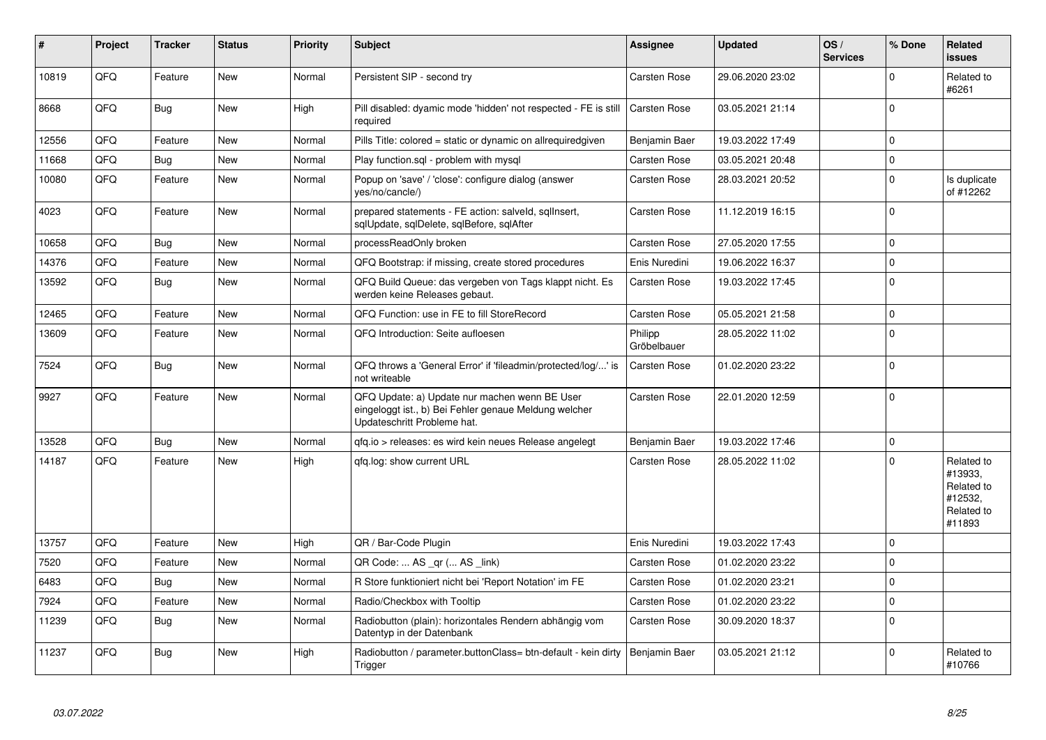| $\vert$ # | Project | <b>Tracker</b> | <b>Status</b> | <b>Priority</b> | <b>Subject</b>                                                                                                                        | Assignee               | <b>Updated</b>   | OS/<br><b>Services</b> | % Done       | Related<br><b>issues</b>                                               |
|-----------|---------|----------------|---------------|-----------------|---------------------------------------------------------------------------------------------------------------------------------------|------------------------|------------------|------------------------|--------------|------------------------------------------------------------------------|
| 10819     | QFQ     | Feature        | New           | Normal          | Persistent SIP - second try                                                                                                           | Carsten Rose           | 29.06.2020 23:02 |                        | $\Omega$     | Related to<br>#6261                                                    |
| 8668      | QFQ     | <b>Bug</b>     | <b>New</b>    | High            | Pill disabled: dyamic mode 'hidden' not respected - FE is still<br>required                                                           | Carsten Rose           | 03.05.2021 21:14 |                        | $\Omega$     |                                                                        |
| 12556     | QFQ     | Feature        | <b>New</b>    | Normal          | Pills Title: colored = static or dynamic on allrequiredgiven                                                                          | Benjamin Baer          | 19.03.2022 17:49 |                        | $\mathbf{0}$ |                                                                        |
| 11668     | QFQ     | Bug            | <b>New</b>    | Normal          | Play function.sql - problem with mysql                                                                                                | Carsten Rose           | 03.05.2021 20:48 |                        | $\pmb{0}$    |                                                                        |
| 10080     | QFQ     | Feature        | New           | Normal          | Popup on 'save' / 'close': configure dialog (answer<br>yes/no/cancle/)                                                                | Carsten Rose           | 28.03.2021 20:52 |                        | $\mathbf 0$  | Is duplicate<br>of #12262                                              |
| 4023      | QFQ     | Feature        | <b>New</b>    | Normal          | prepared statements - FE action: salveld, sqlInsert,<br>sglUpdate, sglDelete, sglBefore, sglAfter                                     | Carsten Rose           | 11.12.2019 16:15 |                        | $\mathbf 0$  |                                                                        |
| 10658     | QFQ     | Bug            | New           | Normal          | processReadOnly broken                                                                                                                | Carsten Rose           | 27.05.2020 17:55 |                        | $\pmb{0}$    |                                                                        |
| 14376     | QFQ     | Feature        | <b>New</b>    | Normal          | QFQ Bootstrap: if missing, create stored procedures                                                                                   | Enis Nuredini          | 19.06.2022 16:37 |                        | 0            |                                                                        |
| 13592     | QFQ     | Bug            | New           | Normal          | QFQ Build Queue: das vergeben von Tags klappt nicht. Es<br>werden keine Releases gebaut.                                              | Carsten Rose           | 19.03.2022 17:45 |                        | $\pmb{0}$    |                                                                        |
| 12465     | QFQ     | Feature        | <b>New</b>    | Normal          | QFQ Function: use in FE to fill StoreRecord                                                                                           | Carsten Rose           | 05.05.2021 21:58 |                        | 0            |                                                                        |
| 13609     | QFQ     | Feature        | New           | Normal          | QFQ Introduction: Seite aufloesen                                                                                                     | Philipp<br>Gröbelbauer | 28.05.2022 11:02 |                        | $\mathbf 0$  |                                                                        |
| 7524      | QFQ     | Bug            | <b>New</b>    | Normal          | QFQ throws a 'General Error' if 'fileadmin/protected/log/' is<br>not writeable                                                        | Carsten Rose           | 01.02.2020 23:22 |                        | $\pmb{0}$    |                                                                        |
| 9927      | QFQ     | Feature        | New           | Normal          | QFQ Update: a) Update nur machen wenn BE User<br>eingeloggt ist., b) Bei Fehler genaue Meldung welcher<br>Updateschritt Probleme hat. | Carsten Rose           | 22.01.2020 12:59 |                        | $\Omega$     |                                                                        |
| 13528     | QFQ     | Bug            | <b>New</b>    | Normal          | qfq.io > releases: es wird kein neues Release angelegt                                                                                | Benjamin Baer          | 19.03.2022 17:46 |                        | $\pmb{0}$    |                                                                        |
| 14187     | QFQ     | Feature        | <b>New</b>    | High            | qfq.log: show current URL                                                                                                             | Carsten Rose           | 28.05.2022 11:02 |                        | $\Omega$     | Related to<br>#13933.<br>Related to<br>#12532,<br>Related to<br>#11893 |
| 13757     | QFQ     | Feature        | <b>New</b>    | High            | QR / Bar-Code Plugin                                                                                                                  | Enis Nuredini          | 19.03.2022 17:43 |                        | $\mathbf{0}$ |                                                                        |
| 7520      | QFQ     | Feature        | <b>New</b>    | Normal          | QR Code:  AS _qr ( AS _link)                                                                                                          | Carsten Rose           | 01.02.2020 23:22 |                        | $\mathbf{0}$ |                                                                        |
| 6483      | QFQ     | Bug            | New           | Normal          | R Store funktioniert nicht bei 'Report Notation' im FE                                                                                | Carsten Rose           | 01.02.2020 23:21 |                        | $\pmb{0}$    |                                                                        |
| 7924      | QFQ     | Feature        | <b>New</b>    | Normal          | Radio/Checkbox with Tooltip                                                                                                           | Carsten Rose           | 01.02.2020 23:22 |                        | $\pmb{0}$    |                                                                        |
| 11239     | QFQ     | <b>Bug</b>     | New           | Normal          | Radiobutton (plain): horizontales Rendern abhängig vom<br>Datentyp in der Datenbank                                                   | Carsten Rose           | 30.09.2020 18:37 |                        | 0            |                                                                        |
| 11237     | QFQ     | <b>Bug</b>     | <b>New</b>    | High            | Radiobutton / parameter.buttonClass= btn-default - kein dirty<br>Trigger                                                              | Benjamin Baer          | 03.05.2021 21:12 |                        | $\Omega$     | Related to<br>#10766                                                   |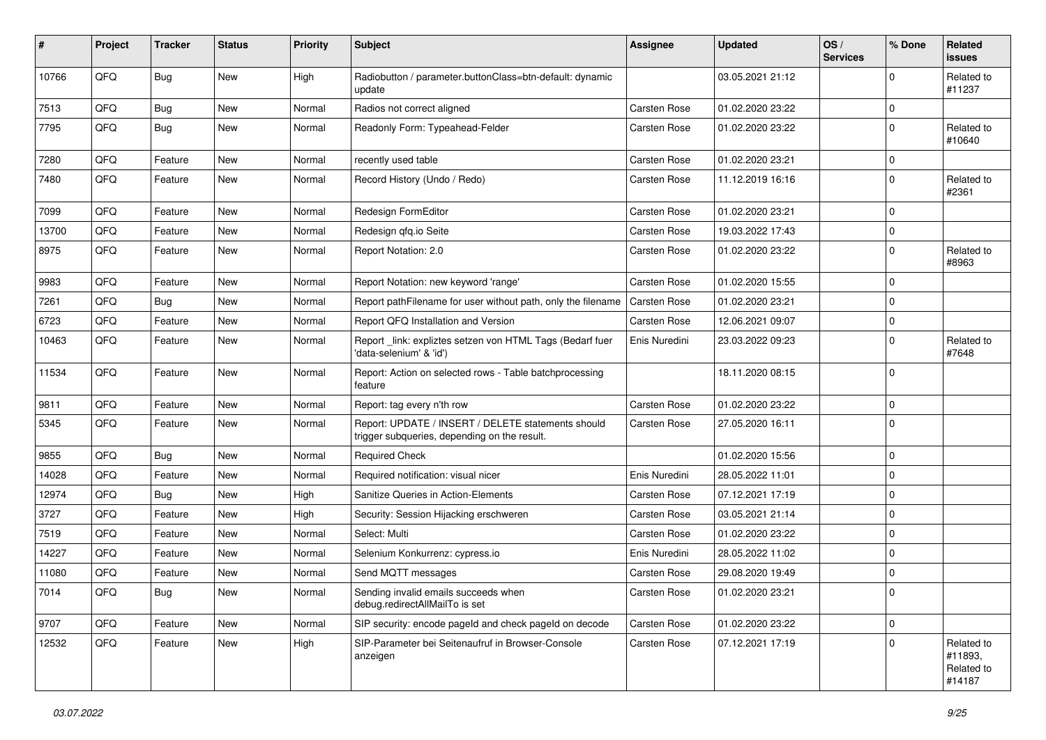| #     | Project | <b>Tracker</b> | <b>Status</b> | <b>Priority</b> | Subject                                                                                            | <b>Assignee</b> | <b>Updated</b>   | OS/<br><b>Services</b> | % Done      | Related<br>issues                             |
|-------|---------|----------------|---------------|-----------------|----------------------------------------------------------------------------------------------------|-----------------|------------------|------------------------|-------------|-----------------------------------------------|
| 10766 | QFQ     | Bug            | New           | High            | Radiobutton / parameter.buttonClass=btn-default: dynamic<br>update                                 |                 | 03.05.2021 21:12 |                        | 0           | Related to<br>#11237                          |
| 7513  | QFQ     | <b>Bug</b>     | New           | Normal          | Radios not correct aligned                                                                         | Carsten Rose    | 01.02.2020 23:22 |                        | 0           |                                               |
| 7795  | QFQ     | Bug            | <b>New</b>    | Normal          | Readonly Form: Typeahead-Felder                                                                    | Carsten Rose    | 01.02.2020 23:22 |                        | $\Omega$    | Related to<br>#10640                          |
| 7280  | QFQ     | Feature        | New           | Normal          | recently used table                                                                                | Carsten Rose    | 01.02.2020 23:21 |                        | $\mathbf 0$ |                                               |
| 7480  | QFQ     | Feature        | New           | Normal          | Record History (Undo / Redo)                                                                       | Carsten Rose    | 11.12.2019 16:16 |                        | $\mathbf 0$ | Related to<br>#2361                           |
| 7099  | QFQ     | Feature        | <b>New</b>    | Normal          | Redesign FormEditor                                                                                | Carsten Rose    | 01.02.2020 23:21 |                        | $\mathbf 0$ |                                               |
| 13700 | QFQ     | Feature        | New           | Normal          | Redesign qfq.io Seite                                                                              | Carsten Rose    | 19.03.2022 17:43 |                        | $\mathbf 0$ |                                               |
| 8975  | QFQ     | Feature        | New           | Normal          | Report Notation: 2.0                                                                               | Carsten Rose    | 01.02.2020 23:22 |                        | $\mathbf 0$ | Related to<br>#8963                           |
| 9983  | QFQ     | Feature        | <b>New</b>    | Normal          | Report Notation: new keyword 'range'                                                               | Carsten Rose    | 01.02.2020 15:55 |                        | 0           |                                               |
| 7261  | QFQ     | <b>Bug</b>     | <b>New</b>    | Normal          | Report pathFilename for user without path, only the filename                                       | Carsten Rose    | 01.02.2020 23:21 |                        | $\mathbf 0$ |                                               |
| 6723  | QFQ     | Feature        | <b>New</b>    | Normal          | Report QFQ Installation and Version                                                                | Carsten Rose    | 12.06.2021 09:07 |                        | $\mathbf 0$ |                                               |
| 10463 | QFQ     | Feature        | New           | Normal          | Report_link: expliztes setzen von HTML Tags (Bedarf fuer<br>'data-selenium' & 'id')                | Enis Nuredini   | 23.03.2022 09:23 |                        | $\Omega$    | Related to<br>#7648                           |
| 11534 | QFQ     | Feature        | <b>New</b>    | Normal          | Report: Action on selected rows - Table batchprocessing<br>feature                                 |                 | 18.11.2020 08:15 |                        | $\mathbf 0$ |                                               |
| 9811  | QFQ     | Feature        | <b>New</b>    | Normal          | Report: tag every n'th row                                                                         | Carsten Rose    | 01.02.2020 23:22 |                        | 0           |                                               |
| 5345  | QFQ     | Feature        | <b>New</b>    | Normal          | Report: UPDATE / INSERT / DELETE statements should<br>trigger subqueries, depending on the result. | Carsten Rose    | 27.05.2020 16:11 |                        | $\Omega$    |                                               |
| 9855  | QFQ     | <b>Bug</b>     | <b>New</b>    | Normal          | <b>Required Check</b>                                                                              |                 | 01.02.2020 15:56 |                        | 0           |                                               |
| 14028 | QFQ     | Feature        | New           | Normal          | Required notification: visual nicer                                                                | Enis Nuredini   | 28.05.2022 11:01 |                        | 0           |                                               |
| 12974 | QFQ     | Bug            | <b>New</b>    | High            | Sanitize Queries in Action-Elements                                                                | Carsten Rose    | 07.12.2021 17:19 |                        | $\mathbf 0$ |                                               |
| 3727  | QFQ     | Feature        | New           | High            | Security: Session Hijacking erschweren                                                             | Carsten Rose    | 03.05.2021 21:14 |                        | 0           |                                               |
| 7519  | QFQ     | Feature        | New           | Normal          | Select: Multi                                                                                      | Carsten Rose    | 01.02.2020 23:22 |                        | $\mathbf 0$ |                                               |
| 14227 | QFQ     | Feature        | New           | Normal          | Selenium Konkurrenz: cypress.io                                                                    | Enis Nuredini   | 28.05.2022 11:02 |                        | 0           |                                               |
| 11080 | QFQ     | Feature        | New           | Normal          | Send MQTT messages                                                                                 | Carsten Rose    | 29.08.2020 19:49 |                        | $\mathbf 0$ |                                               |
| 7014  | QFG     | Bug            | New           | Normal          | Sending invalid emails succeeds when<br>debug.redirectAllMailTo is set                             | Carsten Rose    | 01.02.2020 23:21 |                        | 0           |                                               |
| 9707  | QFQ     | Feature        | New           | Normal          | SIP security: encode pageld and check pageld on decode                                             | Carsten Rose    | 01.02.2020 23:22 |                        | $\mathbf 0$ |                                               |
| 12532 | QFQ     | Feature        | New           | High            | SIP-Parameter bei Seitenaufruf in Browser-Console<br>anzeigen                                      | Carsten Rose    | 07.12.2021 17:19 |                        | $\pmb{0}$   | Related to<br>#11893,<br>Related to<br>#14187 |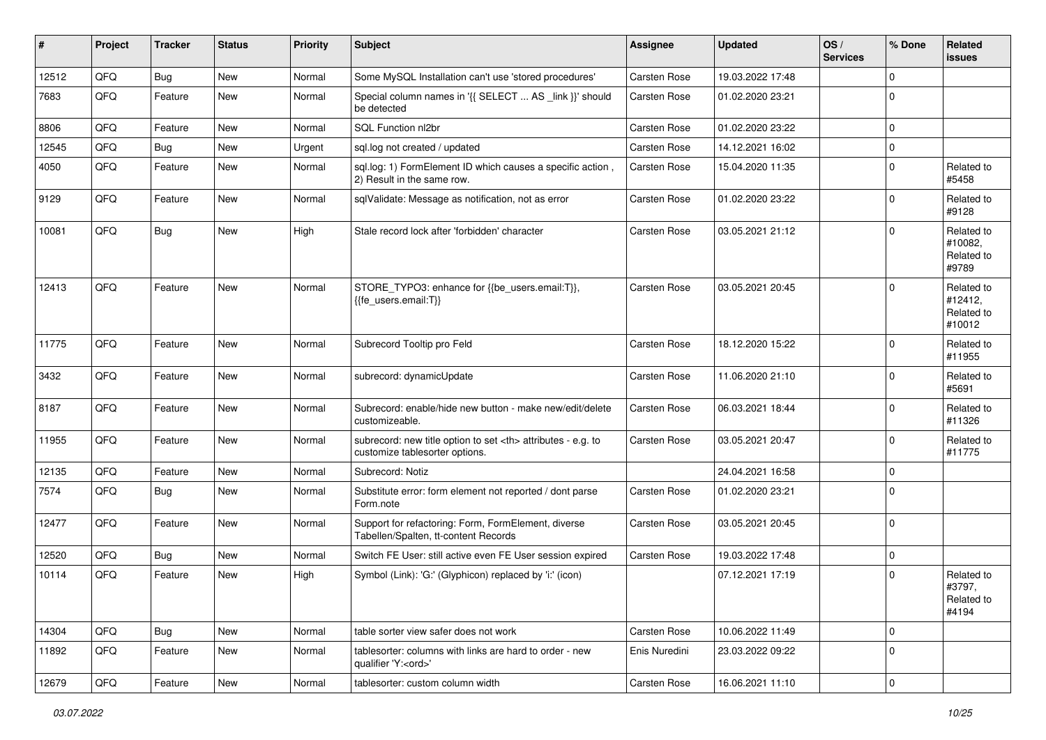| #     | Project | <b>Tracker</b> | <b>Status</b> | <b>Priority</b> | <b>Subject</b>                                                                                       | <b>Assignee</b>                                        | <b>Updated</b>   | OS/<br><b>Services</b> | % Done      | Related<br>issues                             |                      |
|-------|---------|----------------|---------------|-----------------|------------------------------------------------------------------------------------------------------|--------------------------------------------------------|------------------|------------------------|-------------|-----------------------------------------------|----------------------|
| 12512 | QFQ     | <b>Bug</b>     | <b>New</b>    | Normal          | Some MySQL Installation can't use 'stored procedures'                                                | Carsten Rose                                           | 19.03.2022 17:48 |                        | $\mathbf 0$ |                                               |                      |
| 7683  | QFQ     | Feature        | New           | Normal          | Special column names in '{{ SELECT  AS _link }}' should<br>be detected                               | Carsten Rose                                           | 01.02.2020 23:21 |                        | $\mathbf 0$ |                                               |                      |
| 8806  | QFQ     | Feature        | New           | Normal          | SQL Function nl2br                                                                                   | Carsten Rose                                           | 01.02.2020 23:22 |                        | $\mathbf 0$ |                                               |                      |
| 12545 | QFQ     | <b>Bug</b>     | New           | Urgent          | sql.log not created / updated                                                                        | Carsten Rose                                           | 14.12.2021 16:02 |                        | $\mathbf 0$ |                                               |                      |
| 4050  | QFQ     | Feature        | New           | Normal          | sql.log: 1) FormElement ID which causes a specific action,<br>2) Result in the same row.             | Carsten Rose                                           | 15.04.2020 11:35 |                        | $\mathbf 0$ | Related to<br>#5458                           |                      |
| 9129  | QFQ     | Feature        | <b>New</b>    | Normal          | sqlValidate: Message as notification, not as error                                                   | Carsten Rose                                           | 01.02.2020 23:22 |                        | 0           | Related to<br>#9128                           |                      |
| 10081 | QFQ     | Bug            | New           | High            | Stale record lock after 'forbidden' character                                                        | Carsten Rose                                           | 03.05.2021 21:12 |                        | $\mathbf 0$ | Related to<br>#10082,<br>Related to<br>#9789  |                      |
| 12413 | QFQ     | Feature        | New           | Normal          | STORE_TYPO3: enhance for {{be_users.email:T}},<br>{{fe users.email:T}}                               | Carsten Rose                                           | 03.05.2021 20:45 |                        | $\mathbf 0$ | Related to<br>#12412,<br>Related to<br>#10012 |                      |
| 11775 | QFQ     | Feature        | <b>New</b>    | Normal          | Subrecord Tooltip pro Feld                                                                           | Carsten Rose                                           | 18.12.2020 15:22 |                        | $\mathbf 0$ | Related to<br>#11955                          |                      |
| 3432  | QFQ     | Feature        | New           | Normal          | subrecord: dynamicUpdate                                                                             | Carsten Rose                                           | 11.06.2020 21:10 |                        | $\mathbf 0$ | Related to<br>#5691                           |                      |
| 8187  | QFQ     | Feature        | New           | Normal          | Subrecord: enable/hide new button - make new/edit/delete<br>customizeable.                           | Carsten Rose                                           | 06.03.2021 18:44 |                        | 0           | Related to<br>#11326                          |                      |
| 11955 | QFQ     | Feature        | New           | Normal          | subrecord: new title option to set <th> attributes - e.g. to<br/>customize tablesorter options.</th> | attributes - e.g. to<br>customize tablesorter options. | Carsten Rose     | 03.05.2021 20:47       |             | $\mathbf 0$                                   | Related to<br>#11775 |
| 12135 | QFQ     | Feature        | <b>New</b>    | Normal          | Subrecord: Notiz                                                                                     |                                                        | 24.04.2021 16:58 |                        | $\mathbf 0$ |                                               |                      |
| 7574  | QFQ     | Bug            | New           | Normal          | Substitute error: form element not reported / dont parse<br>Form.note                                | Carsten Rose                                           | 01.02.2020 23:21 |                        | $\mathbf 0$ |                                               |                      |
| 12477 | QFQ     | Feature        | <b>New</b>    | Normal          | Support for refactoring: Form, FormElement, diverse<br>Tabellen/Spalten, tt-content Records          | Carsten Rose                                           | 03.05.2021 20:45 |                        | $\mathbf 0$ |                                               |                      |
| 12520 | QFQ     | Bug            | New           | Normal          | Switch FE User: still active even FE User session expired                                            | Carsten Rose                                           | 19.03.2022 17:48 |                        | $\mathbf 0$ |                                               |                      |
| 10114 | QFQ     | Feature        | New           | High            | Symbol (Link): 'G:' (Glyphicon) replaced by 'i:' (icon)                                              |                                                        | 07.12.2021 17:19 |                        | $\mathbf 0$ | Related to<br>#3797,<br>Related to<br>#4194   |                      |
| 14304 | QFQ     | Bug            | New           | Normal          | table sorter view safer does not work                                                                | Carsten Rose                                           | 10.06.2022 11:49 |                        | $\mathbf 0$ |                                               |                      |
| 11892 | QFQ     | Feature        | New           | Normal          | tablesorter: columns with links are hard to order - new<br>qualifier 'Y: <ord>'</ord>                | Enis Nuredini                                          | 23.03.2022 09:22 |                        | $\mathbf 0$ |                                               |                      |
| 12679 | QFQ     | Feature        | New           | Normal          | tablesorter: custom column width                                                                     | Carsten Rose                                           | 16.06.2021 11:10 |                        | $\pmb{0}$   |                                               |                      |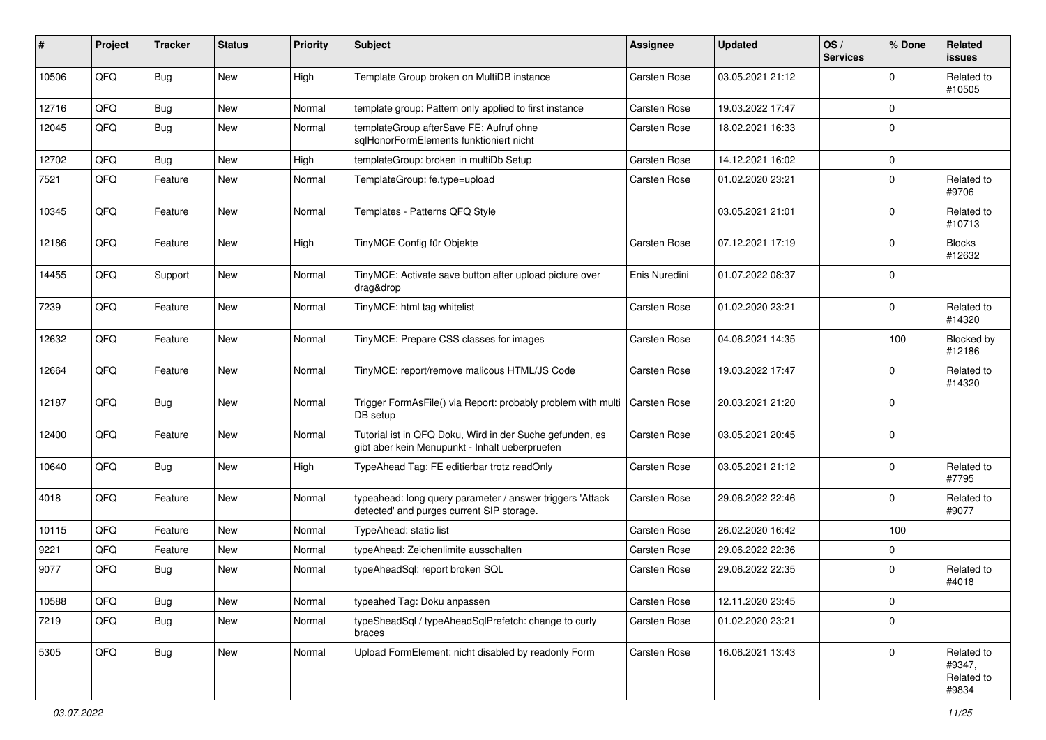| #     | Project | <b>Tracker</b> | <b>Status</b> | <b>Priority</b> | <b>Subject</b>                                                                                             | <b>Assignee</b> | <b>Updated</b>   | OS/<br><b>Services</b> | % Done      | <b>Related</b><br>issues                    |
|-------|---------|----------------|---------------|-----------------|------------------------------------------------------------------------------------------------------------|-----------------|------------------|------------------------|-------------|---------------------------------------------|
| 10506 | QFQ     | Bug            | New           | High            | Template Group broken on MultiDB instance                                                                  | Carsten Rose    | 03.05.2021 21:12 |                        | $\Omega$    | Related to<br>#10505                        |
| 12716 | QFQ     | <b>Bug</b>     | New           | Normal          | template group: Pattern only applied to first instance                                                     | Carsten Rose    | 19.03.2022 17:47 |                        | $\Omega$    |                                             |
| 12045 | QFQ     | Bug            | New           | Normal          | templateGroup afterSave FE: Aufruf ohne<br>sglHonorFormElements funktioniert nicht                         | Carsten Rose    | 18.02.2021 16:33 |                        | $\Omega$    |                                             |
| 12702 | QFQ     | Bug            | New           | High            | templateGroup: broken in multiDb Setup                                                                     | Carsten Rose    | 14.12.2021 16:02 |                        | $\mathbf 0$ |                                             |
| 7521  | QFQ     | Feature        | New           | Normal          | TemplateGroup: fe.type=upload                                                                              | Carsten Rose    | 01.02.2020 23:21 |                        | $\mathbf 0$ | Related to<br>#9706                         |
| 10345 | QFQ     | Feature        | <b>New</b>    | Normal          | Templates - Patterns QFQ Style                                                                             |                 | 03.05.2021 21:01 |                        | $\mathbf 0$ | Related to<br>#10713                        |
| 12186 | QFQ     | Feature        | New           | High            | TinyMCE Config für Objekte                                                                                 | Carsten Rose    | 07.12.2021 17:19 |                        | $\mathbf 0$ | <b>Blocks</b><br>#12632                     |
| 14455 | QFQ     | Support        | New           | Normal          | TinyMCE: Activate save button after upload picture over<br>drag&drop                                       | Enis Nuredini   | 01.07.2022 08:37 |                        | $\mathbf 0$ |                                             |
| 7239  | QFQ     | Feature        | New           | Normal          | TinyMCE: html tag whitelist                                                                                | Carsten Rose    | 01.02.2020 23:21 |                        | $\Omega$    | Related to<br>#14320                        |
| 12632 | QFQ     | Feature        | New           | Normal          | TinyMCE: Prepare CSS classes for images                                                                    | Carsten Rose    | 04.06.2021 14:35 |                        | 100         | Blocked by<br>#12186                        |
| 12664 | QFQ     | Feature        | New           | Normal          | TinyMCE: report/remove malicous HTML/JS Code                                                               | Carsten Rose    | 19.03.2022 17:47 |                        | $\mathbf 0$ | Related to<br>#14320                        |
| 12187 | QFQ     | Bug            | <b>New</b>    | Normal          | Trigger FormAsFile() via Report: probably problem with multi<br>DB setup                                   | Carsten Rose    | 20.03.2021 21:20 |                        | $\mathbf 0$ |                                             |
| 12400 | QFQ     | Feature        | New           | Normal          | Tutorial ist in QFQ Doku, Wird in der Suche gefunden, es<br>gibt aber kein Menupunkt - Inhalt ueberpruefen | Carsten Rose    | 03.05.2021 20:45 |                        | $\mathbf 0$ |                                             |
| 10640 | QFQ     | Bug            | New           | High            | TypeAhead Tag: FE editierbar trotz readOnly                                                                | Carsten Rose    | 03.05.2021 21:12 |                        | $\mathbf 0$ | Related to<br>#7795                         |
| 4018  | QFQ     | Feature        | New           | Normal          | typeahead: long query parameter / answer triggers 'Attack<br>detected' and purges current SIP storage.     | Carsten Rose    | 29.06.2022 22:46 |                        | $\mathbf 0$ | Related to<br>#9077                         |
| 10115 | QFQ     | Feature        | <b>New</b>    | Normal          | TypeAhead: static list                                                                                     | Carsten Rose    | 26.02.2020 16:42 |                        | 100         |                                             |
| 9221  | QFQ     | Feature        | New           | Normal          | typeAhead: Zeichenlimite ausschalten                                                                       | Carsten Rose    | 29.06.2022 22:36 |                        | $\Omega$    |                                             |
| 9077  | QFQ     | Bug            | <b>New</b>    | Normal          | typeAheadSql: report broken SQL                                                                            | Carsten Rose    | 29.06.2022 22:35 |                        | $\mathbf 0$ | Related to<br>#4018                         |
| 10588 | QFQ     | Bug            | New           | Normal          | typeahed Tag: Doku anpassen                                                                                | Carsten Rose    | 12.11.2020 23:45 |                        | $\mathbf 0$ |                                             |
| 7219  | QFQ     | Bug            | New           | Normal          | typeSheadSql / typeAheadSqlPrefetch: change to curly<br>braces                                             | Carsten Rose    | 01.02.2020 23:21 |                        | $\mathbf 0$ |                                             |
| 5305  | QFQ     | Bug            | New           | Normal          | Upload FormElement: nicht disabled by readonly Form                                                        | Carsten Rose    | 16.06.2021 13:43 |                        | $\mathbf 0$ | Related to<br>#9347,<br>Related to<br>#9834 |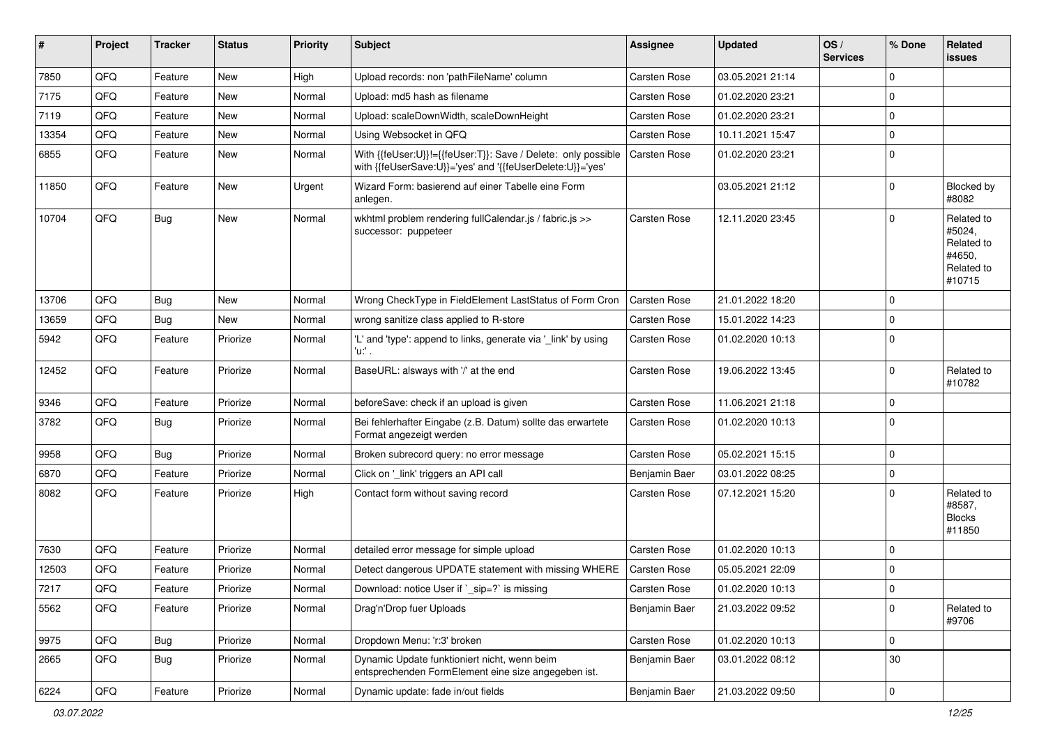| ∦     | Project        | <b>Tracker</b> | <b>Status</b> | <b>Priority</b> | <b>Subject</b>                                                                                                             | <b>Assignee</b>     | <b>Updated</b>   | OS/<br><b>Services</b> | % Done      | Related<br>issues                                                    |
|-------|----------------|----------------|---------------|-----------------|----------------------------------------------------------------------------------------------------------------------------|---------------------|------------------|------------------------|-------------|----------------------------------------------------------------------|
| 7850  | QFQ            | Feature        | <b>New</b>    | High            | Upload records: non 'pathFileName' column                                                                                  | <b>Carsten Rose</b> | 03.05.2021 21:14 |                        | 0           |                                                                      |
| 7175  | QFQ            | Feature        | New           | Normal          | Upload: md5 hash as filename                                                                                               | <b>Carsten Rose</b> | 01.02.2020 23:21 |                        | 0           |                                                                      |
| 7119  | QFQ            | Feature        | New           | Normal          | Upload: scaleDownWidth, scaleDownHeight                                                                                    | Carsten Rose        | 01.02.2020 23:21 |                        | 0           |                                                                      |
| 13354 | QFQ            | Feature        | New           | Normal          | Using Websocket in QFQ                                                                                                     | <b>Carsten Rose</b> | 10.11.2021 15:47 |                        | 0           |                                                                      |
| 6855  | QFQ            | Feature        | New           | Normal          | With {{feUser:U}}!={{feUser:T}}: Save / Delete: only possible<br>with {{feUserSave:U}}='yes' and '{{feUserDelete:U}}='yes' | <b>Carsten Rose</b> | 01.02.2020 23:21 |                        | 0           |                                                                      |
| 11850 | QFQ            | Feature        | <b>New</b>    | Urgent          | Wizard Form: basierend auf einer Tabelle eine Form<br>anlegen.                                                             |                     | 03.05.2021 21:12 |                        | 0           | Blocked by<br>#8082                                                  |
| 10704 | QFQ            | Bug            | <b>New</b>    | Normal          | wkhtml problem rendering fullCalendar.js / fabric.js >><br>successor: puppeteer                                            | Carsten Rose        | 12.11.2020 23:45 |                        | $\Omega$    | Related to<br>#5024,<br>Related to<br>#4650.<br>Related to<br>#10715 |
| 13706 | QFQ            | Bug            | New           | Normal          | Wrong CheckType in FieldElement LastStatus of Form Cron                                                                    | <b>Carsten Rose</b> | 21.01.2022 18:20 |                        | 0           |                                                                      |
| 13659 | QFQ            | Bug            | <b>New</b>    | Normal          | wrong sanitize class applied to R-store                                                                                    | <b>Carsten Rose</b> | 15.01.2022 14:23 |                        | 0           |                                                                      |
| 5942  | QFQ            | Feature        | Priorize      | Normal          | 'L' and 'type': append to links, generate via '_link' by using<br>u. .                                                     | <b>Carsten Rose</b> | 01.02.2020 10:13 |                        | $\mathbf 0$ |                                                                      |
| 12452 | QFQ            | Feature        | Priorize      | Normal          | BaseURL: alsways with '/' at the end                                                                                       | Carsten Rose        | 19.06.2022 13:45 |                        | 0           | Related to<br>#10782                                                 |
| 9346  | QFQ            | Feature        | Priorize      | Normal          | beforeSave: check if an upload is given                                                                                    | <b>Carsten Rose</b> | 11.06.2021 21:18 |                        | 0           |                                                                      |
| 3782  | QFQ            | Bug            | Priorize      | Normal          | Bei fehlerhafter Eingabe (z.B. Datum) sollte das erwartete<br>Format angezeigt werden                                      | Carsten Rose        | 01.02.2020 10:13 |                        | $\Omega$    |                                                                      |
| 9958  | QFQ            | Bug            | Priorize      | Normal          | Broken subrecord query: no error message                                                                                   | <b>Carsten Rose</b> | 05.02.2021 15:15 |                        | 0           |                                                                      |
| 6870  | QFQ            | Feature        | Priorize      | Normal          | Click on '_link' triggers an API call                                                                                      | Benjamin Baer       | 03.01.2022 08:25 |                        | 0           |                                                                      |
| 8082  | QFQ            | Feature        | Priorize      | High            | Contact form without saving record                                                                                         | Carsten Rose        | 07.12.2021 15:20 |                        | $\Omega$    | Related to<br>#8587,<br><b>Blocks</b><br>#11850                      |
| 7630  | QFQ            | Feature        | Priorize      | Normal          | detailed error message for simple upload                                                                                   | <b>Carsten Rose</b> | 01.02.2020 10:13 |                        | 0           |                                                                      |
| 12503 | QFQ            | Feature        | Priorize      | Normal          | Detect dangerous UPDATE statement with missing WHERE                                                                       | <b>Carsten Rose</b> | 05.05.2021 22:09 |                        | 0           |                                                                      |
| 7217  | $\mathsf{QFQ}$ | Feature        | Priorize      | Normal          | Download: notice User if `_sip=?` is missing                                                                               | <b>Carsten Rose</b> | 01.02.2020 10:13 |                        | $\mathbf 0$ |                                                                      |
| 5562  | QFQ            | Feature        | Priorize      | Normal          | Drag'n'Drop fuer Uploads                                                                                                   | Benjamin Baer       | 21.03.2022 09:52 |                        | $\mathbf 0$ | Related to<br>#9706                                                  |
| 9975  | QFQ            | Bug            | Priorize      | Normal          | Dropdown Menu: 'r:3' broken                                                                                                | Carsten Rose        | 01.02.2020 10:13 |                        | 0           |                                                                      |
| 2665  | QFQ            | <b>Bug</b>     | Priorize      | Normal          | Dynamic Update funktioniert nicht, wenn beim<br>entsprechenden FormElement eine size angegeben ist.                        | Benjamin Baer       | 03.01.2022 08:12 |                        | 30          |                                                                      |
| 6224  | QFG            | Feature        | Priorize      | Normal          | Dynamic update: fade in/out fields                                                                                         | Benjamin Baer       | 21.03.2022 09:50 |                        | $\pmb{0}$   |                                                                      |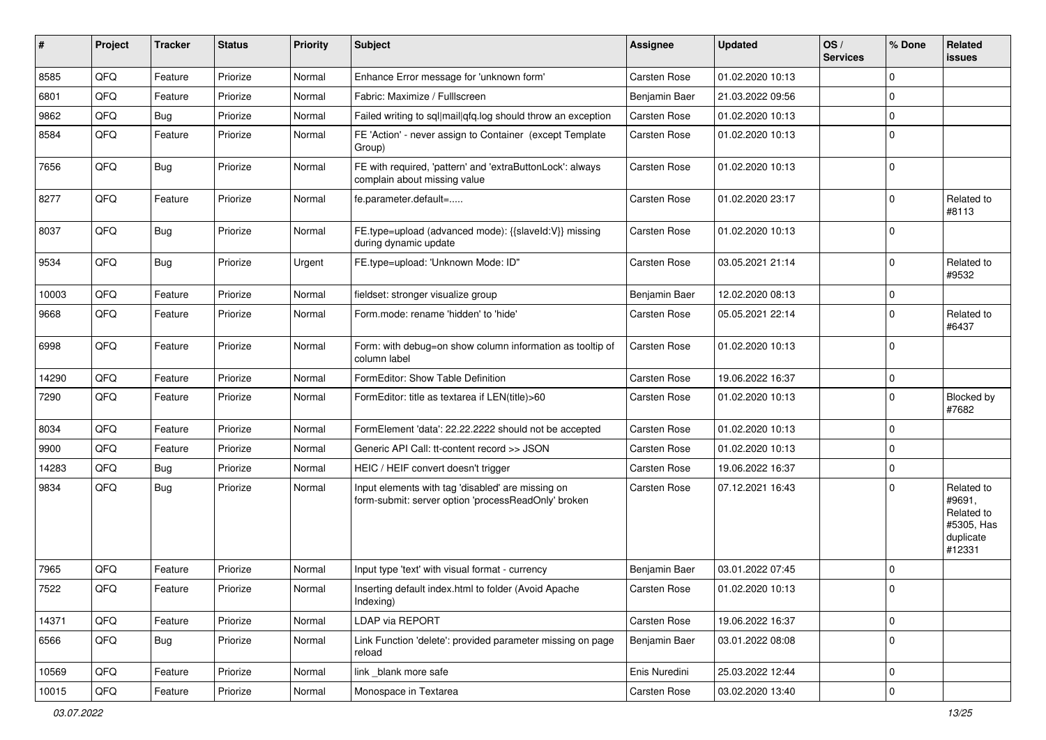| ∦     | Project | <b>Tracker</b> | <b>Status</b> | <b>Priority</b> | <b>Subject</b>                                                                                           | <b>Assignee</b> | <b>Updated</b>   | OS/<br><b>Services</b> | % Done      | <b>Related</b><br>issues                                                |
|-------|---------|----------------|---------------|-----------------|----------------------------------------------------------------------------------------------------------|-----------------|------------------|------------------------|-------------|-------------------------------------------------------------------------|
| 8585  | QFQ     | Feature        | Priorize      | Normal          | Enhance Error message for 'unknown form'                                                                 | Carsten Rose    | 01.02.2020 10:13 |                        | $\Omega$    |                                                                         |
| 6801  | QFQ     | Feature        | Priorize      | Normal          | Fabric: Maximize / FullIscreen                                                                           | Benjamin Baer   | 21.03.2022 09:56 |                        | $\Omega$    |                                                                         |
| 9862  | QFQ     | <b>Bug</b>     | Priorize      | Normal          | Failed writing to sql mail qfq.log should throw an exception                                             | Carsten Rose    | 01.02.2020 10:13 |                        | $\Omega$    |                                                                         |
| 8584  | QFQ     | Feature        | Priorize      | Normal          | FE 'Action' - never assign to Container (except Template<br>Group)                                       | Carsten Rose    | 01.02.2020 10:13 |                        | $\Omega$    |                                                                         |
| 7656  | QFQ     | Bug            | Priorize      | Normal          | FE with required, 'pattern' and 'extraButtonLock': always<br>complain about missing value                | Carsten Rose    | 01.02.2020 10:13 |                        | $\Omega$    |                                                                         |
| 8277  | QFQ     | Feature        | Priorize      | Normal          | fe.parameter.default=                                                                                    | Carsten Rose    | 01.02.2020 23:17 |                        | $\Omega$    | Related to<br>#8113                                                     |
| 8037  | QFQ     | <b>Bug</b>     | Priorize      | Normal          | FE.type=upload (advanced mode): {{slaveld:V}} missing<br>during dynamic update                           | Carsten Rose    | 01.02.2020 10:13 |                        | $\Omega$    |                                                                         |
| 9534  | QFQ     | Bug            | Priorize      | Urgent          | FE.type=upload: 'Unknown Mode: ID"                                                                       | Carsten Rose    | 03.05.2021 21:14 |                        | $\Omega$    | Related to<br>#9532                                                     |
| 10003 | QFQ     | Feature        | Priorize      | Normal          | fieldset: stronger visualize group                                                                       | Benjamin Baer   | 12.02.2020 08:13 |                        | $\Omega$    |                                                                         |
| 9668  | QFQ     | Feature        | Priorize      | Normal          | Form.mode: rename 'hidden' to 'hide'                                                                     | Carsten Rose    | 05.05.2021 22:14 |                        | $\Omega$    | Related to<br>#6437                                                     |
| 6998  | QFQ     | Feature        | Priorize      | Normal          | Form: with debug=on show column information as tooltip of<br>column label                                | Carsten Rose    | 01.02.2020 10:13 |                        | $\Omega$    |                                                                         |
| 14290 | QFQ     | Feature        | Priorize      | Normal          | FormEditor: Show Table Definition                                                                        | Carsten Rose    | 19.06.2022 16:37 |                        | $\Omega$    |                                                                         |
| 7290  | QFQ     | Feature        | Priorize      | Normal          | FormEditor: title as textarea if LEN(title)>60                                                           | Carsten Rose    | 01.02.2020 10:13 |                        | $\Omega$    | Blocked by<br>#7682                                                     |
| 8034  | QFQ     | Feature        | Priorize      | Normal          | FormElement 'data': 22.22.2222 should not be accepted                                                    | Carsten Rose    | 01.02.2020 10:13 |                        | $\Omega$    |                                                                         |
| 9900  | QFQ     | Feature        | Priorize      | Normal          | Generic API Call: tt-content record >> JSON                                                              | Carsten Rose    | 01.02.2020 10:13 |                        | $\Omega$    |                                                                         |
| 14283 | QFQ     | Bug            | Priorize      | Normal          | HEIC / HEIF convert doesn't trigger                                                                      | Carsten Rose    | 19.06.2022 16:37 |                        | $\mathbf 0$ |                                                                         |
| 9834  | QFQ     | Bug            | Priorize      | Normal          | Input elements with tag 'disabled' are missing on<br>form-submit: server option 'processReadOnly' broken | Carsten Rose    | 07.12.2021 16:43 |                        | $\Omega$    | Related to<br>#9691,<br>Related to<br>#5305, Has<br>duplicate<br>#12331 |
| 7965  | QFQ     | Feature        | Priorize      | Normal          | Input type 'text' with visual format - currency                                                          | Benjamin Baer   | 03.01.2022 07:45 |                        | $\Omega$    |                                                                         |
| 7522  | QFQ     | Feature        | Priorize      | Normal          | Inserting default index.html to folder (Avoid Apache<br>Indexing)                                        | Carsten Rose    | 01.02.2020 10:13 |                        | 0           |                                                                         |
| 14371 | QFQ     | Feature        | Priorize      | Normal          | LDAP via REPORT                                                                                          | Carsten Rose    | 19.06.2022 16:37 |                        | 0           |                                                                         |
| 6566  | QFQ     | Bug            | Priorize      | Normal          | Link Function 'delete': provided parameter missing on page<br>reload                                     | Benjamin Baer   | 03.01.2022 08:08 |                        | $\mathbf 0$ |                                                                         |
| 10569 | QFQ     | Feature        | Priorize      | Normal          | link _blank more safe                                                                                    | Enis Nuredini   | 25.03.2022 12:44 |                        | 0           |                                                                         |
| 10015 | QFG     | Feature        | Priorize      | Normal          | Monospace in Textarea                                                                                    | Carsten Rose    | 03.02.2020 13:40 |                        | $\pmb{0}$   |                                                                         |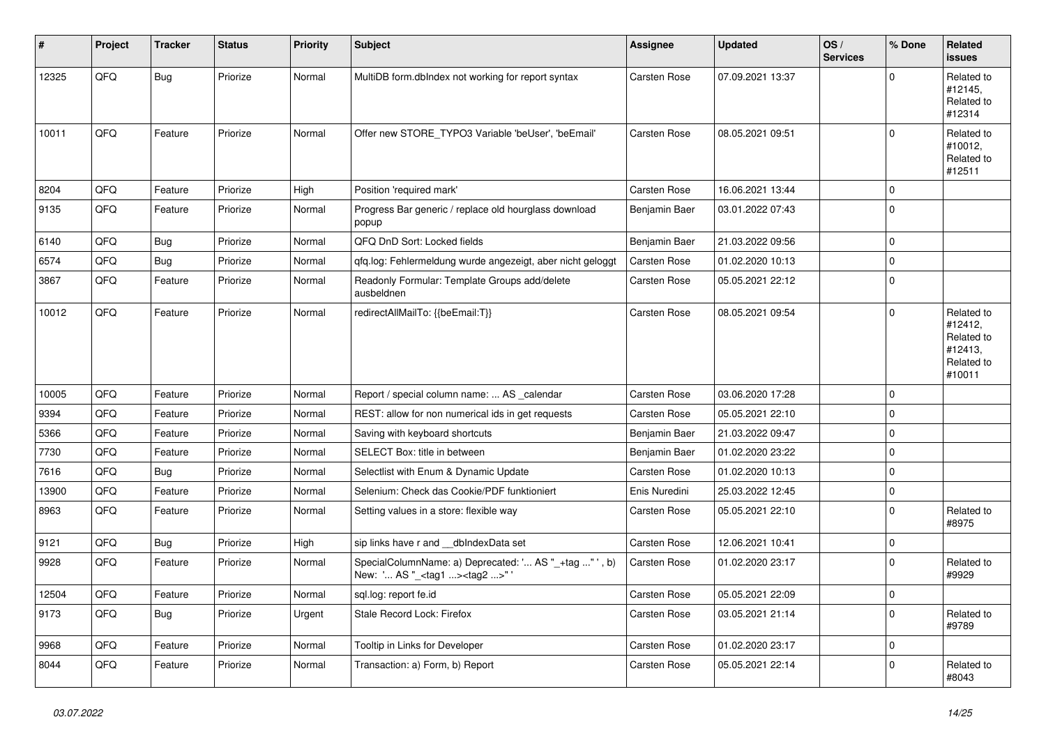| ∦     | Project | <b>Tracker</b> | <b>Status</b> | <b>Priority</b> | <b>Subject</b>                                                                                    | <b>Assignee</b> | <b>Updated</b>   | OS/<br><b>Services</b> | % Done      | Related<br>issues                                                      |
|-------|---------|----------------|---------------|-----------------|---------------------------------------------------------------------------------------------------|-----------------|------------------|------------------------|-------------|------------------------------------------------------------------------|
| 12325 | QFQ     | Bug            | Priorize      | Normal          | MultiDB form.dbIndex not working for report syntax                                                | Carsten Rose    | 07.09.2021 13:37 |                        | $\Omega$    | Related to<br>#12145,<br>Related to<br>#12314                          |
| 10011 | QFQ     | Feature        | Priorize      | Normal          | Offer new STORE_TYPO3 Variable 'beUser', 'beEmail'                                                | Carsten Rose    | 08.05.2021 09:51 |                        | $\Omega$    | Related to<br>#10012,<br>Related to<br>#12511                          |
| 8204  | QFQ     | Feature        | Priorize      | High            | Position 'required mark'                                                                          | Carsten Rose    | 16.06.2021 13:44 |                        | $\Omega$    |                                                                        |
| 9135  | QFQ     | Feature        | Priorize      | Normal          | Progress Bar generic / replace old hourglass download<br>popup                                    | Benjamin Baer   | 03.01.2022 07:43 |                        | $\Omega$    |                                                                        |
| 6140  | QFQ     | <b>Bug</b>     | Priorize      | Normal          | QFQ DnD Sort: Locked fields                                                                       | Benjamin Baer   | 21.03.2022 09:56 |                        | $\Omega$    |                                                                        |
| 6574  | QFQ     | <b>Bug</b>     | Priorize      | Normal          | qfq.log: Fehlermeldung wurde angezeigt, aber nicht geloggt                                        | Carsten Rose    | 01.02.2020 10:13 |                        | $\mathbf 0$ |                                                                        |
| 3867  | QFQ     | Feature        | Priorize      | Normal          | Readonly Formular: Template Groups add/delete<br>ausbeldnen                                       | Carsten Rose    | 05.05.2021 22:12 |                        | $\Omega$    |                                                                        |
| 10012 | QFQ     | Feature        | Priorize      | Normal          | redirectAllMailTo: {{beEmail:T}}                                                                  | Carsten Rose    | 08.05.2021 09:54 |                        | $\Omega$    | Related to<br>#12412,<br>Related to<br>#12413,<br>Related to<br>#10011 |
| 10005 | QFQ     | Feature        | Priorize      | Normal          | Report / special column name:  AS _calendar                                                       | Carsten Rose    | 03.06.2020 17:28 |                        | $\Omega$    |                                                                        |
| 9394  | QFQ     | Feature        | Priorize      | Normal          | REST: allow for non numerical ids in get requests                                                 | Carsten Rose    | 05.05.2021 22:10 |                        | $\mathbf 0$ |                                                                        |
| 5366  | QFQ     | Feature        | Priorize      | Normal          | Saving with keyboard shortcuts                                                                    | Benjamin Baer   | 21.03.2022 09:47 |                        | $\Omega$    |                                                                        |
| 7730  | QFQ     | Feature        | Priorize      | Normal          | SELECT Box: title in between                                                                      | Benjamin Baer   | 01.02.2020 23:22 |                        | $\mathbf 0$ |                                                                        |
| 7616  | QFQ     | <b>Bug</b>     | Priorize      | Normal          | Selectlist with Enum & Dynamic Update                                                             | Carsten Rose    | 01.02.2020 10:13 |                        | $\Omega$    |                                                                        |
| 13900 | QFQ     | Feature        | Priorize      | Normal          | Selenium: Check das Cookie/PDF funktioniert                                                       | Enis Nuredini   | 25.03.2022 12:45 |                        | $\mathbf 0$ |                                                                        |
| 8963  | QFQ     | Feature        | Priorize      | Normal          | Setting values in a store: flexible way                                                           | Carsten Rose    | 05.05.2021 22:10 |                        | $\Omega$    | Related to<br>#8975                                                    |
| 9121  | QFQ     | Bug            | Priorize      | High            | sip links have r and __dbIndexData set                                                            | Carsten Rose    | 12.06.2021 10:41 |                        | 0           |                                                                        |
| 9928  | QFQ     | Feature        | Priorize      | Normal          | SpecialColumnName: a) Deprecated: ' AS "_+tag " ', b)<br>New: ' AS "_ <tag1><tag2>"</tag2></tag1> | Carsten Rose    | 01.02.2020 23:17 |                        | $\Omega$    | Related to<br>#9929                                                    |
| 12504 | QFQ     | Feature        | Priorize      | Normal          | sql.log: report fe.id                                                                             | Carsten Rose    | 05.05.2021 22:09 |                        | $\mathbf 0$ |                                                                        |
| 9173  | QFQ     | <b>Bug</b>     | Priorize      | Urgent          | Stale Record Lock: Firefox                                                                        | Carsten Rose    | 03.05.2021 21:14 |                        | $\Omega$    | Related to<br>#9789                                                    |
| 9968  | QFQ     | Feature        | Priorize      | Normal          | Tooltip in Links for Developer                                                                    | Carsten Rose    | 01.02.2020 23:17 |                        | 0           |                                                                        |
| 8044  | QFQ     | Feature        | Priorize      | Normal          | Transaction: a) Form, b) Report                                                                   | Carsten Rose    | 05.05.2021 22:14 |                        | $\Omega$    | Related to<br>#8043                                                    |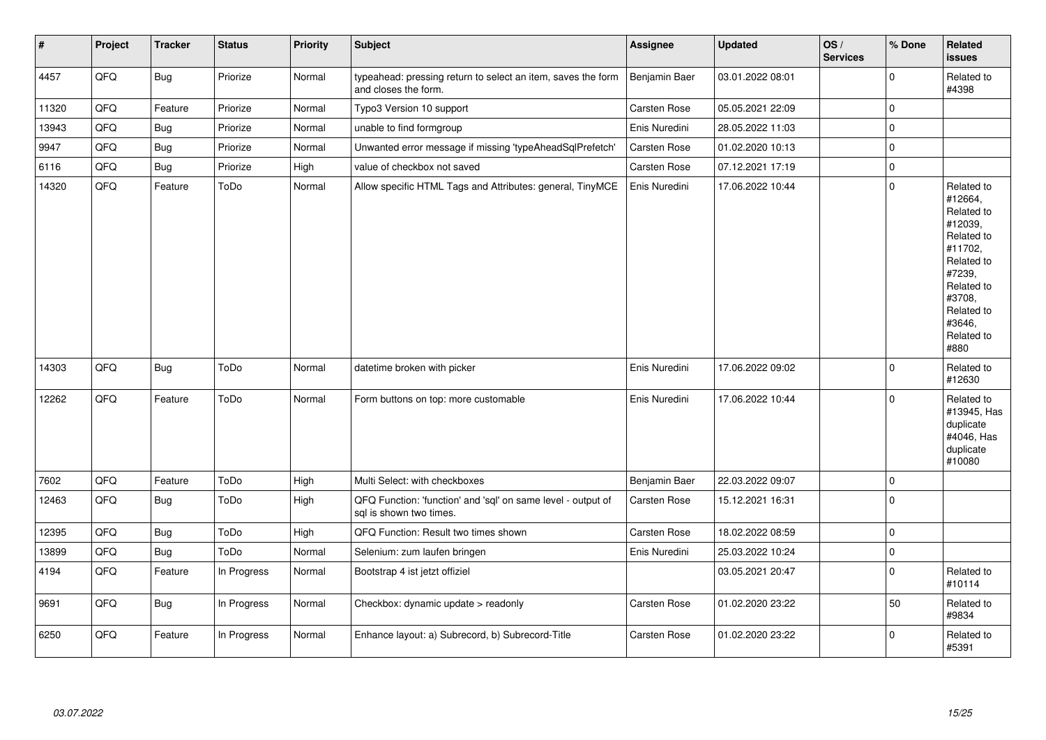| $\vert$ # | Project | <b>Tracker</b> | <b>Status</b> | <b>Priority</b> | <b>Subject</b>                                                                          | <b>Assignee</b>     | <b>Updated</b>   | OS/<br><b>Services</b> | % Done      | Related<br><b>issues</b>                                                                                                                                              |
|-----------|---------|----------------|---------------|-----------------|-----------------------------------------------------------------------------------------|---------------------|------------------|------------------------|-------------|-----------------------------------------------------------------------------------------------------------------------------------------------------------------------|
| 4457      | QFQ     | <b>Bug</b>     | Priorize      | Normal          | typeahead: pressing return to select an item, saves the form<br>and closes the form.    | Benjamin Baer       | 03.01.2022 08:01 |                        | $\Omega$    | Related to<br>#4398                                                                                                                                                   |
| 11320     | QFQ     | Feature        | Priorize      | Normal          | Typo3 Version 10 support                                                                | Carsten Rose        | 05.05.2021 22:09 |                        | $\mathbf 0$ |                                                                                                                                                                       |
| 13943     | QFQ     | <b>Bug</b>     | Priorize      | Normal          | unable to find formgroup                                                                | Enis Nuredini       | 28.05.2022 11:03 |                        | $\mathbf 0$ |                                                                                                                                                                       |
| 9947      | QFQ     | Bug            | Priorize      | Normal          | Unwanted error message if missing 'typeAheadSqlPrefetch'                                | Carsten Rose        | 01.02.2020 10:13 |                        | $\mathbf 0$ |                                                                                                                                                                       |
| 6116      | QFQ     | Bug            | Priorize      | High            | value of checkbox not saved                                                             | Carsten Rose        | 07.12.2021 17:19 |                        | $\mathbf 0$ |                                                                                                                                                                       |
| 14320     | QFQ     | Feature        | ToDo          | Normal          | Allow specific HTML Tags and Attributes: general, TinyMCE                               | Enis Nuredini       | 17.06.2022 10:44 |                        | 0           | Related to<br>#12664,<br>Related to<br>#12039,<br>Related to<br>#11702,<br>Related to<br>#7239,<br>Related to<br>#3708,<br>Related to<br>#3646,<br>Related to<br>#880 |
| 14303     | QFQ     | Bug            | ToDo          | Normal          | datetime broken with picker                                                             | Enis Nuredini       | 17.06.2022 09:02 |                        | $\Omega$    | Related to<br>#12630                                                                                                                                                  |
| 12262     | QFQ     | Feature        | ToDo          | Normal          | Form buttons on top: more customable                                                    | Enis Nuredini       | 17.06.2022 10:44 |                        | $\mathbf 0$ | Related to<br>#13945, Has<br>duplicate<br>#4046, Has<br>duplicate<br>#10080                                                                                           |
| 7602      | QFQ     | Feature        | ToDo          | High            | Multi Select: with checkboxes                                                           | Benjamin Baer       | 22.03.2022 09:07 |                        | $\mathbf 0$ |                                                                                                                                                                       |
| 12463     | QFQ     | Bug            | ToDo          | High            | QFQ Function: 'function' and 'sql' on same level - output of<br>sql is shown two times. | <b>Carsten Rose</b> | 15.12.2021 16:31 |                        | $\mathbf 0$ |                                                                                                                                                                       |
| 12395     | QFQ     | Bug            | ToDo          | High            | QFQ Function: Result two times shown                                                    | Carsten Rose        | 18.02.2022 08:59 |                        | $\mathbf 0$ |                                                                                                                                                                       |
| 13899     | QFQ     | Bug            | ToDo          | Normal          | Selenium: zum laufen bringen                                                            | Enis Nuredini       | 25.03.2022 10:24 |                        | 0           |                                                                                                                                                                       |
| 4194      | QFQ     | Feature        | In Progress   | Normal          | Bootstrap 4 ist jetzt offiziel                                                          |                     | 03.05.2021 20:47 |                        | $\mathbf 0$ | Related to<br>#10114                                                                                                                                                  |
| 9691      | QFQ     | <b>Bug</b>     | In Progress   | Normal          | Checkbox: dynamic update > readonly                                                     | Carsten Rose        | 01.02.2020 23:22 |                        | 50          | Related to<br>#9834                                                                                                                                                   |
| 6250      | QFQ     | Feature        | In Progress   | Normal          | Enhance layout: a) Subrecord, b) Subrecord-Title                                        | Carsten Rose        | 01.02.2020 23:22 |                        | $\mathbf 0$ | Related to<br>#5391                                                                                                                                                   |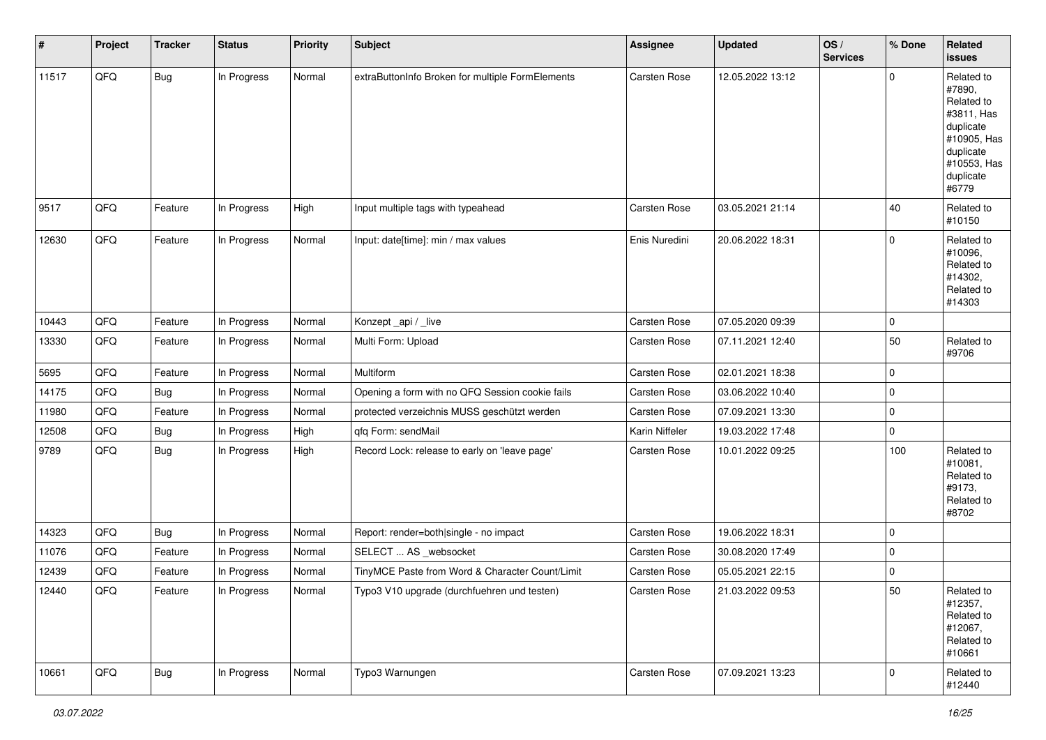| #     | Project | <b>Tracker</b> | <b>Status</b> | <b>Priority</b> | Subject                                          | <b>Assignee</b>     | <b>Updated</b>   | OS/<br><b>Services</b> | % Done      | Related<br>issues                                                                                                              |
|-------|---------|----------------|---------------|-----------------|--------------------------------------------------|---------------------|------------------|------------------------|-------------|--------------------------------------------------------------------------------------------------------------------------------|
| 11517 | QFQ     | <b>Bug</b>     | In Progress   | Normal          | extraButtonInfo Broken for multiple FormElements | Carsten Rose        | 12.05.2022 13:12 |                        | 0           | Related to<br>#7890,<br>Related to<br>#3811, Has<br>duplicate<br>#10905, Has<br>duplicate<br>#10553, Has<br>duplicate<br>#6779 |
| 9517  | QFQ     | Feature        | In Progress   | High            | Input multiple tags with typeahead               | Carsten Rose        | 03.05.2021 21:14 |                        | 40          | Related to<br>#10150                                                                                                           |
| 12630 | QFQ     | Feature        | In Progress   | Normal          | Input: date[time]: min / max values              | Enis Nuredini       | 20.06.2022 18:31 |                        | 0           | Related to<br>#10096,<br>Related to<br>#14302,<br>Related to<br>#14303                                                         |
| 10443 | QFQ     | Feature        | In Progress   | Normal          | Konzept_api / _live                              | <b>Carsten Rose</b> | 07.05.2020 09:39 |                        | 0           |                                                                                                                                |
| 13330 | QFQ     | Feature        | In Progress   | Normal          | Multi Form: Upload                               | Carsten Rose        | 07.11.2021 12:40 |                        | 50          | Related to<br>#9706                                                                                                            |
| 5695  | QFQ     | Feature        | In Progress   | Normal          | Multiform                                        | Carsten Rose        | 02.01.2021 18:38 |                        | 0           |                                                                                                                                |
| 14175 | QFQ     | <b>Bug</b>     | In Progress   | Normal          | Opening a form with no QFQ Session cookie fails  | Carsten Rose        | 03.06.2022 10:40 |                        | 0           |                                                                                                                                |
| 11980 | QFQ     | Feature        | In Progress   | Normal          | protected verzeichnis MUSS geschützt werden      | Carsten Rose        | 07.09.2021 13:30 |                        | 0           |                                                                                                                                |
| 12508 | QFQ     | Bug            | In Progress   | High            | qfq Form: sendMail                               | Karin Niffeler      | 19.03.2022 17:48 |                        | 0           |                                                                                                                                |
| 9789  | QFQ     | Bug            | In Progress   | High            | Record Lock: release to early on 'leave page'    | Carsten Rose        | 10.01.2022 09:25 |                        | 100         | Related to<br>#10081,<br>Related to<br>#9173,<br>Related to<br>#8702                                                           |
| 14323 | QFQ     | Bug            | In Progress   | Normal          | Report: render=both single - no impact           | Carsten Rose        | 19.06.2022 18:31 |                        | 0           |                                                                                                                                |
| 11076 | QFQ     | Feature        | In Progress   | Normal          | SELECT  AS _websocket                            | Carsten Rose        | 30.08.2020 17:49 |                        | 0           |                                                                                                                                |
| 12439 | QFQ     | Feature        | In Progress   | Normal          | TinyMCE Paste from Word & Character Count/Limit  | Carsten Rose        | 05.05.2021 22:15 |                        | 0           |                                                                                                                                |
| 12440 | QFQ     | Feature        | In Progress   | Normal          | Typo3 V10 upgrade (durchfuehren und testen)      | Carsten Rose        | 21.03.2022 09:53 |                        | 50          | Related to<br>#12357,<br>Related to<br>#12067,<br>Related to<br>#10661                                                         |
| 10661 | QFG     | I Bug          | In Progress   | Normal          | Typo3 Warnungen                                  | Carsten Rose        | 07.09.2021 13:23 |                        | $\mathsf 0$ | Related to<br>#12440                                                                                                           |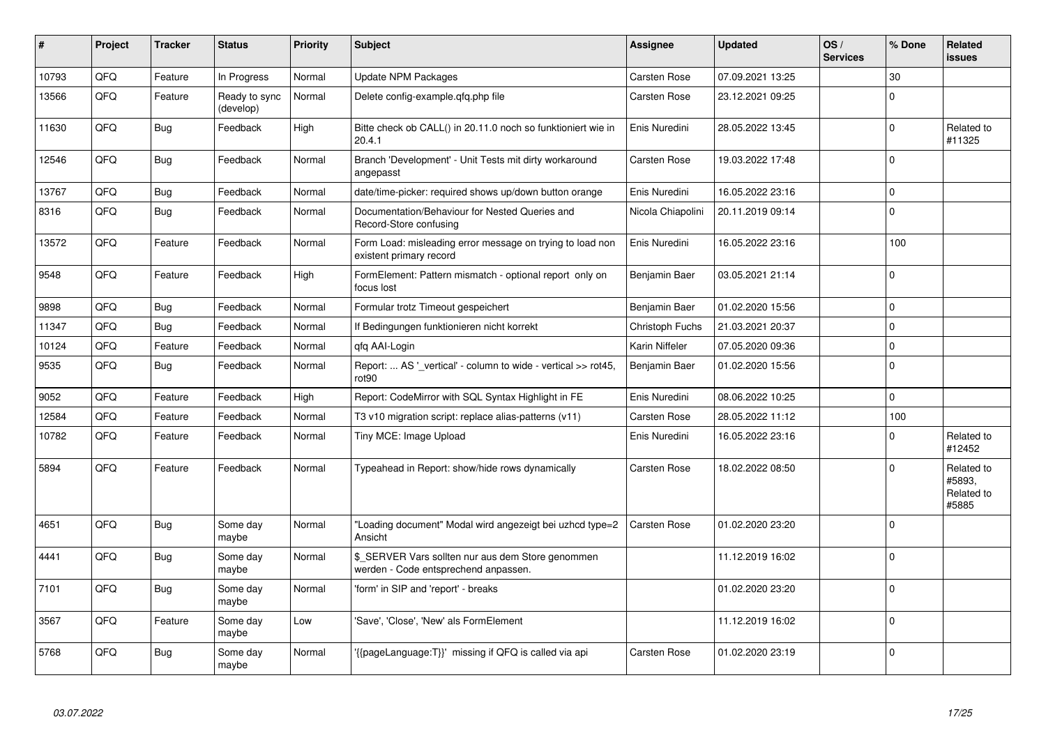| ∦     | Project | <b>Tracker</b> | <b>Status</b>              | <b>Priority</b> | <b>Subject</b>                                                                            | Assignee          | <b>Updated</b>   | OS/<br><b>Services</b> | % Done   | <b>Related</b><br><b>issues</b>             |
|-------|---------|----------------|----------------------------|-----------------|-------------------------------------------------------------------------------------------|-------------------|------------------|------------------------|----------|---------------------------------------------|
| 10793 | QFQ     | Feature        | In Progress                | Normal          | <b>Update NPM Packages</b>                                                                | Carsten Rose      | 07.09.2021 13:25 |                        | 30       |                                             |
| 13566 | QFQ     | Feature        | Ready to sync<br>(develop) | Normal          | Delete config-example.qfq.php file                                                        | Carsten Rose      | 23.12.2021 09:25 |                        | $\Omega$ |                                             |
| 11630 | QFQ     | <b>Bug</b>     | Feedback                   | High            | Bitte check ob CALL() in 20.11.0 noch so funktioniert wie in<br>20.4.1                    | Enis Nuredini     | 28.05.2022 13:45 |                        | $\Omega$ | Related to<br>#11325                        |
| 12546 | QFQ     | <b>Bug</b>     | Feedback                   | Normal          | Branch 'Development' - Unit Tests mit dirty workaround<br>angepasst                       | Carsten Rose      | 19.03.2022 17:48 |                        | $\Omega$ |                                             |
| 13767 | QFQ     | <b>Bug</b>     | Feedback                   | Normal          | date/time-picker: required shows up/down button orange                                    | Enis Nuredini     | 16.05.2022 23:16 |                        | $\Omega$ |                                             |
| 8316  | QFQ     | Bug            | Feedback                   | Normal          | Documentation/Behaviour for Nested Queries and<br>Record-Store confusing                  | Nicola Chiapolini | 20.11.2019 09:14 |                        | $\Omega$ |                                             |
| 13572 | QFQ     | Feature        | Feedback                   | Normal          | Form Load: misleading error message on trying to load non<br>existent primary record      | Enis Nuredini     | 16.05.2022 23:16 |                        | 100      |                                             |
| 9548  | QFQ     | Feature        | Feedback                   | High            | FormElement: Pattern mismatch - optional report only on<br>focus lost                     | Benjamin Baer     | 03.05.2021 21:14 |                        | $\Omega$ |                                             |
| 9898  | QFQ     | Bug            | Feedback                   | Normal          | Formular trotz Timeout gespeichert                                                        | Benjamin Baer     | 01.02.2020 15:56 |                        | $\Omega$ |                                             |
| 11347 | QFQ     | Bug            | Feedback                   | Normal          | If Bedingungen funktionieren nicht korrekt                                                | Christoph Fuchs   | 21.03.2021 20:37 |                        | $\Omega$ |                                             |
| 10124 | QFQ     | Feature        | Feedback                   | Normal          | qfq AAI-Login                                                                             | Karin Niffeler    | 07.05.2020 09:36 |                        | $\Omega$ |                                             |
| 9535  | QFQ     | <b>Bug</b>     | Feedback                   | Normal          | Report:  AS ' vertical' - column to wide - vertical >> rot45,<br>rot90                    | Benjamin Baer     | 01.02.2020 15:56 |                        | $\Omega$ |                                             |
| 9052  | QFQ     | Feature        | Feedback                   | High            | Report: CodeMirror with SQL Syntax Highlight in FE                                        | Enis Nuredini     | 08.06.2022 10:25 |                        | $\Omega$ |                                             |
| 12584 | QFQ     | Feature        | Feedback                   | Normal          | T3 v10 migration script: replace alias-patterns (v11)                                     | Carsten Rose      | 28.05.2022 11:12 |                        | 100      |                                             |
| 10782 | QFQ     | Feature        | Feedback                   | Normal          | Tiny MCE: Image Upload                                                                    | Enis Nuredini     | 16.05.2022 23:16 |                        | $\Omega$ | Related to<br>#12452                        |
| 5894  | QFQ     | Feature        | Feedback                   | Normal          | Typeahead in Report: show/hide rows dynamically                                           | Carsten Rose      | 18.02.2022 08:50 |                        | $\Omega$ | Related to<br>#5893.<br>Related to<br>#5885 |
| 4651  | QFQ     | <b>Bug</b>     | Some day<br>maybe          | Normal          | "Loading document" Modal wird angezeigt bei uzhcd type=2<br>Ansicht                       | Carsten Rose      | 01.02.2020 23:20 |                        | $\Omega$ |                                             |
| 4441  | QFQ     | <b>Bug</b>     | Some day<br>maybe          | Normal          | \$_SERVER Vars sollten nur aus dem Store genommen<br>werden - Code entsprechend anpassen. |                   | 11.12.2019 16:02 |                        | $\Omega$ |                                             |
| 7101  | QFQ     | <b>Bug</b>     | Some day<br>maybe          | Normal          | 'form' in SIP and 'report' - breaks                                                       |                   | 01.02.2020 23:20 |                        | $\Omega$ |                                             |
| 3567  | QFQ     | Feature        | Some day<br>maybe          | Low             | 'Save', 'Close', 'New' als FormElement                                                    |                   | 11.12.2019 16:02 |                        | $\Omega$ |                                             |
| 5768  | QFQ     | <b>Bug</b>     | Some day<br>maybe          | Normal          | {{pageLanguage:T}}' missing if QFQ is called via api                                      | Carsten Rose      | 01.02.2020 23:19 |                        | $\Omega$ |                                             |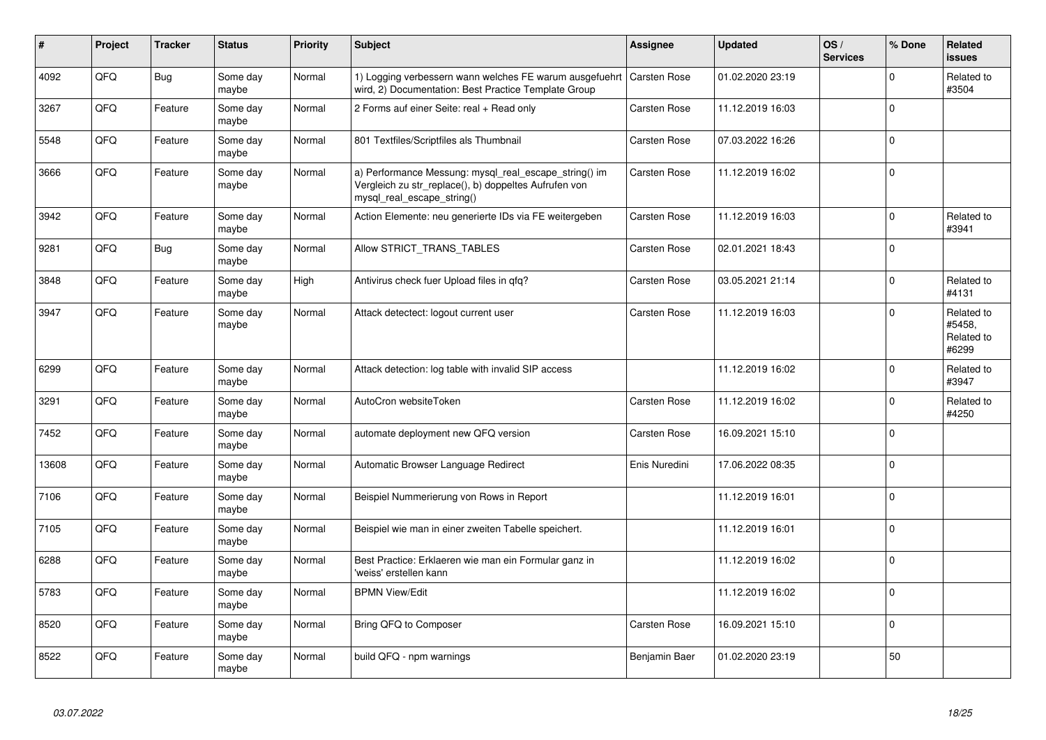| #     | Project | <b>Tracker</b> | <b>Status</b>     | <b>Priority</b> | <b>Subject</b>                                                                                                                               | <b>Assignee</b> | <b>Updated</b>   | OS/<br><b>Services</b> | % Done      | Related<br><b>issues</b>                    |
|-------|---------|----------------|-------------------|-----------------|----------------------------------------------------------------------------------------------------------------------------------------------|-----------------|------------------|------------------------|-------------|---------------------------------------------|
| 4092  | QFQ     | <b>Bug</b>     | Some day<br>maybe | Normal          | 1) Logging verbessern wann welches FE warum ausgefuehrt<br>wird, 2) Documentation: Best Practice Template Group                              | Carsten Rose    | 01.02.2020 23:19 |                        | $\mathbf 0$ | Related to<br>#3504                         |
| 3267  | QFQ     | Feature        | Some day<br>maybe | Normal          | 2 Forms auf einer Seite: real + Read only                                                                                                    | Carsten Rose    | 11.12.2019 16:03 |                        | $\mathbf 0$ |                                             |
| 5548  | QFQ     | Feature        | Some day<br>maybe | Normal          | 801 Textfiles/Scriptfiles als Thumbnail                                                                                                      | Carsten Rose    | 07.03.2022 16:26 |                        | $\mathbf 0$ |                                             |
| 3666  | QFQ     | Feature        | Some day<br>maybe | Normal          | a) Performance Messung: mysql_real_escape_string() im<br>Vergleich zu str_replace(), b) doppeltes Aufrufen von<br>mysql_real_escape_string() | Carsten Rose    | 11.12.2019 16:02 |                        | $\mathbf 0$ |                                             |
| 3942  | QFQ     | Feature        | Some day<br>maybe | Normal          | Action Elemente: neu generierte IDs via FE weitergeben                                                                                       | Carsten Rose    | 11.12.2019 16:03 |                        | $\Omega$    | Related to<br>#3941                         |
| 9281  | QFQ     | <b>Bug</b>     | Some day<br>maybe | Normal          | Allow STRICT_TRANS_TABLES                                                                                                                    | Carsten Rose    | 02.01.2021 18:43 |                        | $\Omega$    |                                             |
| 3848  | QFQ     | Feature        | Some day<br>maybe | High            | Antivirus check fuer Upload files in gfg?                                                                                                    | Carsten Rose    | 03.05.2021 21:14 |                        | $\mathbf 0$ | Related to<br>#4131                         |
| 3947  | QFQ     | Feature        | Some day<br>maybe | Normal          | Attack detectect: logout current user                                                                                                        | Carsten Rose    | 11.12.2019 16:03 |                        | $\Omega$    | Related to<br>#5458,<br>Related to<br>#6299 |
| 6299  | QFQ     | Feature        | Some day<br>maybe | Normal          | Attack detection: log table with invalid SIP access                                                                                          |                 | 11.12.2019 16:02 |                        | $\mathbf 0$ | Related to<br>#3947                         |
| 3291  | QFQ     | Feature        | Some day<br>maybe | Normal          | AutoCron websiteToken                                                                                                                        | Carsten Rose    | 11.12.2019 16:02 |                        | $\mathbf 0$ | Related to<br>#4250                         |
| 7452  | QFQ     | Feature        | Some day<br>maybe | Normal          | automate deployment new QFQ version                                                                                                          | Carsten Rose    | 16.09.2021 15:10 |                        | $\mathbf 0$ |                                             |
| 13608 | QFQ     | Feature        | Some day<br>maybe | Normal          | Automatic Browser Language Redirect                                                                                                          | Enis Nuredini   | 17.06.2022 08:35 |                        | $\mathbf 0$ |                                             |
| 7106  | QFQ     | Feature        | Some day<br>maybe | Normal          | Beispiel Nummerierung von Rows in Report                                                                                                     |                 | 11.12.2019 16:01 |                        | $\Omega$    |                                             |
| 7105  | QFQ     | Feature        | Some day<br>maybe | Normal          | Beispiel wie man in einer zweiten Tabelle speichert.                                                                                         |                 | 11.12.2019 16:01 |                        | $\Omega$    |                                             |
| 6288  | QFQ     | Feature        | Some day<br>maybe | Normal          | Best Practice: Erklaeren wie man ein Formular ganz in<br>'weiss' erstellen kann                                                              |                 | 11.12.2019 16:02 |                        | $\mathbf 0$ |                                             |
| 5783  | QFQ     | Feature        | Some day<br>maybe | Normal          | <b>BPMN View/Edit</b>                                                                                                                        |                 | 11.12.2019 16:02 |                        | $\mathbf 0$ |                                             |
| 8520  | QFQ     | Feature        | Some day<br>maybe | Normal          | Bring QFQ to Composer                                                                                                                        | Carsten Rose    | 16.09.2021 15:10 |                        | $\mathbf 0$ |                                             |
| 8522  | QFQ     | Feature        | Some day<br>maybe | Normal          | build QFQ - npm warnings                                                                                                                     | Benjamin Baer   | 01.02.2020 23:19 |                        | 50          |                                             |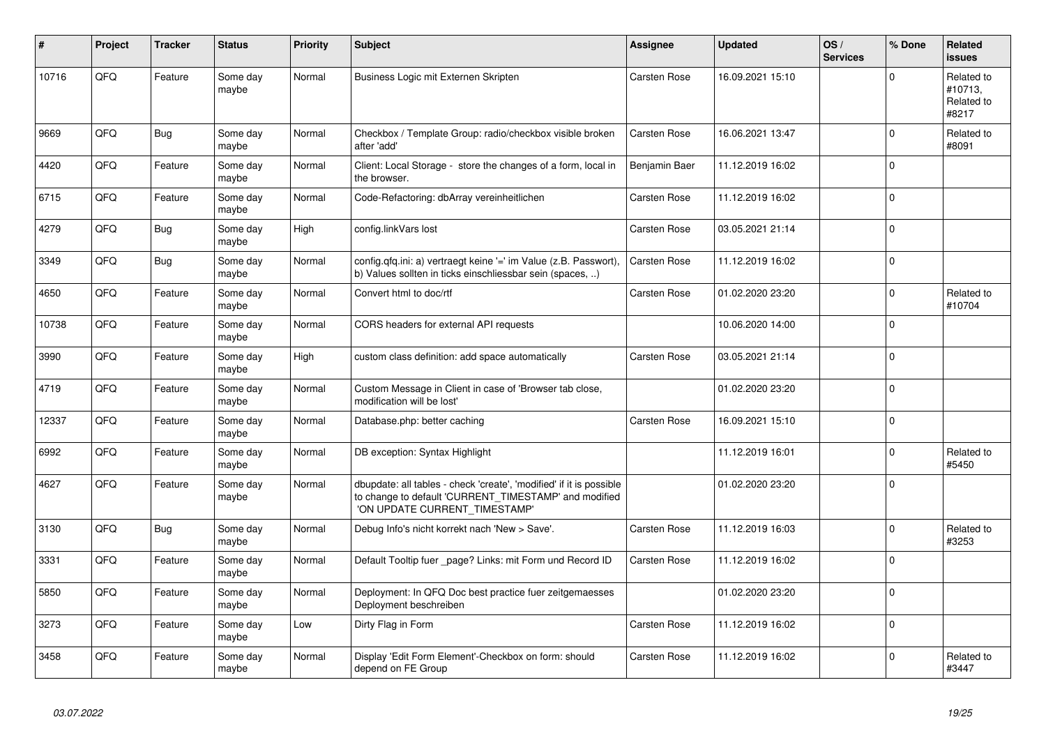| #     | Project | <b>Tracker</b> | <b>Status</b>     | <b>Priority</b> | <b>Subject</b>                                                                                                                                                | Assignee      | <b>Updated</b>   | OS/<br><b>Services</b> | % Done      | <b>Related</b><br><b>issues</b>              |
|-------|---------|----------------|-------------------|-----------------|---------------------------------------------------------------------------------------------------------------------------------------------------------------|---------------|------------------|------------------------|-------------|----------------------------------------------|
| 10716 | QFQ     | Feature        | Some day<br>maybe | Normal          | Business Logic mit Externen Skripten                                                                                                                          | Carsten Rose  | 16.09.2021 15:10 |                        | $\Omega$    | Related to<br>#10713,<br>Related to<br>#8217 |
| 9669  | QFQ     | <b>Bug</b>     | Some day<br>maybe | Normal          | Checkbox / Template Group: radio/checkbox visible broken<br>after 'add'                                                                                       | Carsten Rose  | 16.06.2021 13:47 |                        | $\mathbf 0$ | Related to<br>#8091                          |
| 4420  | QFQ     | Feature        | Some day<br>maybe | Normal          | Client: Local Storage - store the changes of a form, local in<br>the browser.                                                                                 | Benjamin Baer | 11.12.2019 16:02 |                        | $\Omega$    |                                              |
| 6715  | QFQ     | Feature        | Some day<br>maybe | Normal          | Code-Refactoring: dbArray vereinheitlichen                                                                                                                    | Carsten Rose  | 11.12.2019 16:02 |                        | $\Omega$    |                                              |
| 4279  | QFQ     | <b>Bug</b>     | Some day<br>maybe | High            | config.linkVars lost                                                                                                                                          | Carsten Rose  | 03.05.2021 21:14 |                        | $\Omega$    |                                              |
| 3349  | QFQ     | <b>Bug</b>     | Some day<br>maybe | Normal          | config.qfq.ini: a) vertraegt keine '=' im Value (z.B. Passwort),<br>b) Values sollten in ticks einschliessbar sein (spaces, )                                 | Carsten Rose  | 11.12.2019 16:02 |                        | $\Omega$    |                                              |
| 4650  | QFQ     | Feature        | Some day<br>maybe | Normal          | Convert html to doc/rtf                                                                                                                                       | Carsten Rose  | 01.02.2020 23:20 |                        | $\Omega$    | Related to<br>#10704                         |
| 10738 | QFQ     | Feature        | Some day<br>maybe | Normal          | CORS headers for external API requests                                                                                                                        |               | 10.06.2020 14:00 |                        | $\Omega$    |                                              |
| 3990  | QFQ     | Feature        | Some day<br>maybe | High            | custom class definition: add space automatically                                                                                                              | Carsten Rose  | 03.05.2021 21:14 |                        | $\Omega$    |                                              |
| 4719  | QFQ     | Feature        | Some day<br>maybe | Normal          | Custom Message in Client in case of 'Browser tab close,<br>modification will be lost'                                                                         |               | 01.02.2020 23:20 |                        | $\Omega$    |                                              |
| 12337 | QFQ     | Feature        | Some day<br>maybe | Normal          | Database.php: better caching                                                                                                                                  | Carsten Rose  | 16.09.2021 15:10 |                        | $\Omega$    |                                              |
| 6992  | QFQ     | Feature        | Some day<br>maybe | Normal          | DB exception: Syntax Highlight                                                                                                                                |               | 11.12.2019 16:01 |                        | 0           | Related to<br>#5450                          |
| 4627  | QFQ     | Feature        | Some day<br>maybe | Normal          | dbupdate: all tables - check 'create', 'modified' if it is possible<br>to change to default 'CURRENT_TIMESTAMP' and modified<br>'ON UPDATE CURRENT_TIMESTAMP' |               | 01.02.2020 23:20 |                        | $\Omega$    |                                              |
| 3130  | QFQ     | <b>Bug</b>     | Some day<br>maybe | Normal          | Debug Info's nicht korrekt nach 'New > Save'.                                                                                                                 | Carsten Rose  | 11.12.2019 16:03 |                        | $\Omega$    | Related to<br>#3253                          |
| 3331  | QFQ     | Feature        | Some day<br>maybe | Normal          | Default Tooltip fuer _page? Links: mit Form und Record ID                                                                                                     | Carsten Rose  | 11.12.2019 16:02 |                        | $\Omega$    |                                              |
| 5850  | QFQ     | Feature        | Some day<br>maybe | Normal          | Deployment: In QFQ Doc best practice fuer zeitgemaesses<br>Deployment beschreiben                                                                             |               | 01.02.2020 23:20 |                        | $\Omega$    |                                              |
| 3273  | QFQ     | Feature        | Some day<br>maybe | Low             | Dirty Flag in Form                                                                                                                                            | Carsten Rose  | 11.12.2019 16:02 |                        | 0           |                                              |
| 3458  | QFQ     | Feature        | Some day<br>maybe | Normal          | Display 'Edit Form Element'-Checkbox on form: should<br>depend on FE Group                                                                                    | Carsten Rose  | 11.12.2019 16:02 |                        | $\Omega$    | Related to<br>#3447                          |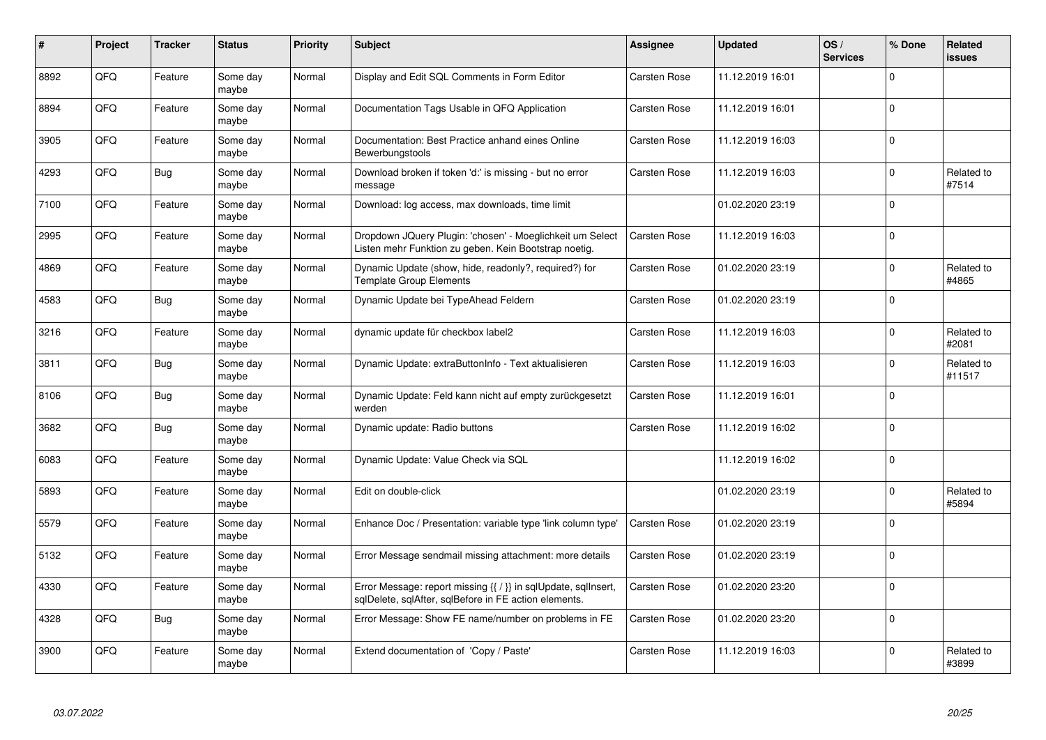| #    | Project    | <b>Tracker</b> | <b>Status</b>     | <b>Priority</b> | <b>Subject</b>                                                                                                          | <b>Assignee</b> | <b>Updated</b>   | OS/<br><b>Services</b> | % Done       | <b>Related</b><br><b>issues</b> |
|------|------------|----------------|-------------------|-----------------|-------------------------------------------------------------------------------------------------------------------------|-----------------|------------------|------------------------|--------------|---------------------------------|
| 8892 | QFQ        | Feature        | Some day<br>maybe | Normal          | Display and Edit SQL Comments in Form Editor                                                                            | Carsten Rose    | 11.12.2019 16:01 |                        | $\Omega$     |                                 |
| 8894 | QFQ        | Feature        | Some day<br>maybe | Normal          | Documentation Tags Usable in QFQ Application                                                                            | Carsten Rose    | 11.12.2019 16:01 |                        | $\mathbf 0$  |                                 |
| 3905 | QFQ        | Feature        | Some day<br>maybe | Normal          | Documentation: Best Practice anhand eines Online<br>Bewerbungstools                                                     | Carsten Rose    | 11.12.2019 16:03 |                        | $\Omega$     |                                 |
| 4293 | QFQ        | Bug            | Some day<br>maybe | Normal          | Download broken if token 'd:' is missing - but no error<br>message                                                      | Carsten Rose    | 11.12.2019 16:03 |                        | $\Omega$     | Related to<br>#7514             |
| 7100 | QFQ        | Feature        | Some day<br>maybe | Normal          | Download: log access, max downloads, time limit                                                                         |                 | 01.02.2020 23:19 |                        | $\mathbf 0$  |                                 |
| 2995 | <b>OFO</b> | Feature        | Some day<br>maybe | Normal          | Dropdown JQuery Plugin: 'chosen' - Moeglichkeit um Select<br>Listen mehr Funktion zu geben. Kein Bootstrap noetig.      | Carsten Rose    | 11.12.2019 16:03 |                        | $\Omega$     |                                 |
| 4869 | QFQ        | Feature        | Some day<br>maybe | Normal          | Dynamic Update (show, hide, readonly?, required?) for<br>Template Group Elements                                        | Carsten Rose    | 01.02.2020 23:19 |                        | $\mathbf 0$  | Related to<br>#4865             |
| 4583 | QFQ        | Bug            | Some day<br>maybe | Normal          | Dynamic Update bei TypeAhead Feldern                                                                                    | Carsten Rose    | 01.02.2020 23:19 |                        | $\mathbf 0$  |                                 |
| 3216 | QFQ        | Feature        | Some day<br>maybe | Normal          | dynamic update für checkbox label2                                                                                      | Carsten Rose    | 11.12.2019 16:03 |                        | $\Omega$     | Related to<br>#2081             |
| 3811 | QFQ        | <b>Bug</b>     | Some day<br>maybe | Normal          | Dynamic Update: extraButtonInfo - Text aktualisieren                                                                    | Carsten Rose    | 11.12.2019 16:03 |                        | $\mathbf 0$  | Related to<br>#11517            |
| 8106 | QFQ        | Bug            | Some day<br>maybe | Normal          | Dynamic Update: Feld kann nicht auf empty zurückgesetzt<br>werden                                                       | Carsten Rose    | 11.12.2019 16:01 |                        | $\mathbf 0$  |                                 |
| 3682 | QFQ        | <b>Bug</b>     | Some day<br>maybe | Normal          | Dynamic update: Radio buttons                                                                                           | Carsten Rose    | 11.12.2019 16:02 |                        | $\mathbf 0$  |                                 |
| 6083 | QFQ        | Feature        | Some day<br>maybe | Normal          | Dynamic Update: Value Check via SQL                                                                                     |                 | 11.12.2019 16:02 |                        | $\mathbf 0$  |                                 |
| 5893 | QFQ        | Feature        | Some day<br>maybe | Normal          | Edit on double-click                                                                                                    |                 | 01.02.2020 23:19 |                        | $\mathbf 0$  | Related to<br>#5894             |
| 5579 | QFQ        | Feature        | Some day<br>maybe | Normal          | Enhance Doc / Presentation: variable type 'link column type'                                                            | Carsten Rose    | 01.02.2020 23:19 |                        | $\Omega$     |                                 |
| 5132 | QFQ        | Feature        | Some day<br>maybe | Normal          | Error Message sendmail missing attachment: more details                                                                 | Carsten Rose    | 01.02.2020 23:19 |                        | $\Omega$     |                                 |
| 4330 | QFQ        | Feature        | Some day<br>maybe | Normal          | Error Message: report missing {{ / }} in sqlUpdate, sqlInsert,<br>sqlDelete, sqlAfter, sqlBefore in FE action elements. | Carsten Rose    | 01.02.2020 23:20 |                        | $\mathbf{0}$ |                                 |
| 4328 | QFQ        | <b>Bug</b>     | Some day<br>maybe | Normal          | Error Message: Show FE name/number on problems in FE                                                                    | Carsten Rose    | 01.02.2020 23:20 |                        | $\mathbf 0$  |                                 |
| 3900 | QFQ        | Feature        | Some day<br>maybe | Normal          | Extend documentation of 'Copy / Paste'                                                                                  | Carsten Rose    | 11.12.2019 16:03 |                        | $\Omega$     | Related to<br>#3899             |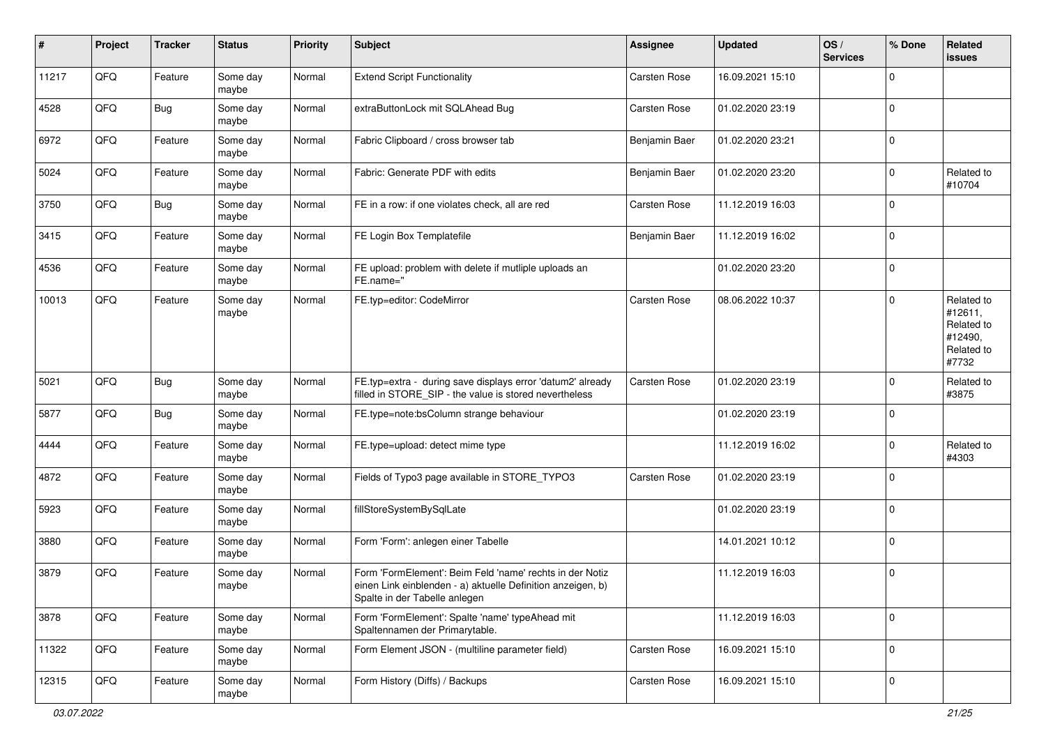| $\pmb{\#}$ | Project | <b>Tracker</b> | <b>Status</b>     | <b>Priority</b> | <b>Subject</b>                                                                                                                                           | <b>Assignee</b> | <b>Updated</b>   | OS/<br><b>Services</b> | % Done      | Related<br><b>issues</b>                                              |
|------------|---------|----------------|-------------------|-----------------|----------------------------------------------------------------------------------------------------------------------------------------------------------|-----------------|------------------|------------------------|-------------|-----------------------------------------------------------------------|
| 11217      | QFQ     | Feature        | Some day<br>maybe | Normal          | <b>Extend Script Functionality</b>                                                                                                                       | Carsten Rose    | 16.09.2021 15:10 |                        | $\mathbf 0$ |                                                                       |
| 4528       | QFQ     | <b>Bug</b>     | Some day<br>maybe | Normal          | extraButtonLock mit SQLAhead Bug                                                                                                                         | Carsten Rose    | 01.02.2020 23:19 |                        | $\mathbf 0$ |                                                                       |
| 6972       | QFQ     | Feature        | Some day<br>maybe | Normal          | Fabric Clipboard / cross browser tab                                                                                                                     | Benjamin Baer   | 01.02.2020 23:21 |                        | $\mathbf 0$ |                                                                       |
| 5024       | QFQ     | Feature        | Some day<br>maybe | Normal          | Fabric: Generate PDF with edits                                                                                                                          | Benjamin Baer   | 01.02.2020 23:20 |                        | 0           | Related to<br>#10704                                                  |
| 3750       | QFQ     | <b>Bug</b>     | Some day<br>maybe | Normal          | FE in a row: if one violates check, all are red                                                                                                          | Carsten Rose    | 11.12.2019 16:03 |                        | $\mathbf 0$ |                                                                       |
| 3415       | QFQ     | Feature        | Some day<br>maybe | Normal          | FE Login Box Templatefile                                                                                                                                | Benjamin Baer   | 11.12.2019 16:02 |                        | $\mathbf 0$ |                                                                       |
| 4536       | QFQ     | Feature        | Some day<br>maybe | Normal          | FE upload: problem with delete if mutliple uploads an<br>FE.name="                                                                                       |                 | 01.02.2020 23:20 |                        | $\mathbf 0$ |                                                                       |
| 10013      | QFQ     | Feature        | Some day<br>maybe | Normal          | FE.typ=editor: CodeMirror                                                                                                                                | Carsten Rose    | 08.06.2022 10:37 |                        | $\mathbf 0$ | Related to<br>#12611,<br>Related to<br>#12490,<br>Related to<br>#7732 |
| 5021       | QFQ     | Bug            | Some day<br>maybe | Normal          | FE.typ=extra - during save displays error 'datum2' already<br>filled in STORE_SIP - the value is stored nevertheless                                     | Carsten Rose    | 01.02.2020 23:19 |                        | $\mathbf 0$ | Related to<br>#3875                                                   |
| 5877       | QFQ     | <b>Bug</b>     | Some day<br>maybe | Normal          | FE.type=note:bsColumn strange behaviour                                                                                                                  |                 | 01.02.2020 23:19 |                        | $\mathbf 0$ |                                                                       |
| 4444       | QFQ     | Feature        | Some day<br>maybe | Normal          | FE.type=upload: detect mime type                                                                                                                         |                 | 11.12.2019 16:02 |                        | $\mathbf 0$ | Related to<br>#4303                                                   |
| 4872       | QFQ     | Feature        | Some day<br>maybe | Normal          | Fields of Typo3 page available in STORE_TYPO3                                                                                                            | Carsten Rose    | 01.02.2020 23:19 |                        | 0           |                                                                       |
| 5923       | QFQ     | Feature        | Some day<br>maybe | Normal          | fillStoreSystemBySqlLate                                                                                                                                 |                 | 01.02.2020 23:19 |                        | $\mathbf 0$ |                                                                       |
| 3880       | QFQ     | Feature        | Some day<br>maybe | Normal          | Form 'Form': anlegen einer Tabelle                                                                                                                       |                 | 14.01.2021 10:12 |                        | $\mathbf 0$ |                                                                       |
| 3879       | QFQ     | Feature        | Some day<br>maybe | Normal          | Form 'FormElement': Beim Feld 'name' rechts in der Notiz<br>einen Link einblenden - a) aktuelle Definition anzeigen, b)<br>Spalte in der Tabelle anlegen |                 | 11.12.2019 16:03 |                        | $\mathbf 0$ |                                                                       |
| 3878       | QFQ     | Feature        | Some day<br>maybe | Normal          | Form 'FormElement': Spalte 'name' typeAhead mit<br>Spaltennamen der Primarytable.                                                                        |                 | 11.12.2019 16:03 |                        | $\mathbf 0$ |                                                                       |
| 11322      | QFQ     | Feature        | Some day<br>maybe | Normal          | Form Element JSON - (multiline parameter field)                                                                                                          | Carsten Rose    | 16.09.2021 15:10 |                        | $\mathbf 0$ |                                                                       |
| 12315      | QFQ     | Feature        | Some day<br>maybe | Normal          | Form History (Diffs) / Backups                                                                                                                           | Carsten Rose    | 16.09.2021 15:10 |                        | $\mathbf 0$ |                                                                       |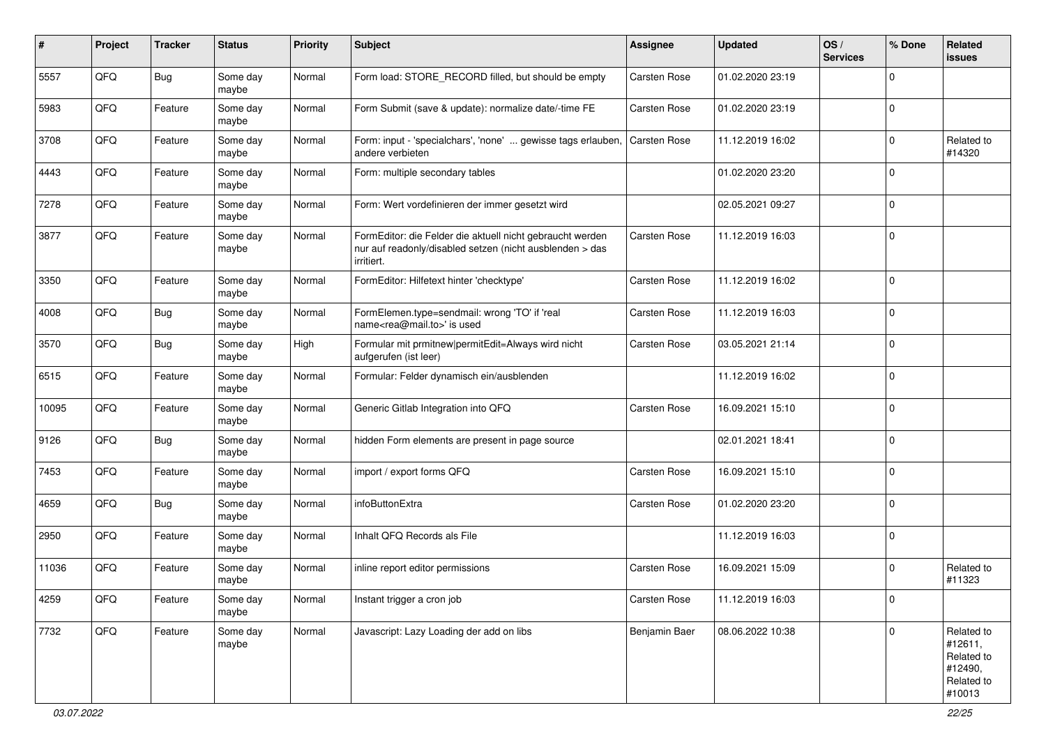| ∦     | Project | <b>Tracker</b> | <b>Status</b>     | <b>Priority</b> | <b>Subject</b>                                                                                                                      | <b>Assignee</b> | <b>Updated</b>   | OS/<br><b>Services</b> | % Done      | <b>Related</b><br>issues                                               |
|-------|---------|----------------|-------------------|-----------------|-------------------------------------------------------------------------------------------------------------------------------------|-----------------|------------------|------------------------|-------------|------------------------------------------------------------------------|
| 5557  | QFQ     | <b>Bug</b>     | Some day<br>maybe | Normal          | Form load: STORE_RECORD filled, but should be empty                                                                                 | Carsten Rose    | 01.02.2020 23:19 |                        | $\Omega$    |                                                                        |
| 5983  | QFQ     | Feature        | Some day<br>maybe | Normal          | Form Submit (save & update): normalize date/-time FE                                                                                | Carsten Rose    | 01.02.2020 23:19 |                        | $\mathbf 0$ |                                                                        |
| 3708  | QFQ     | Feature        | Some day<br>maybe | Normal          | Form: input - 'specialchars', 'none'  gewisse tags erlauben,<br>andere verbieten                                                    | Carsten Rose    | 11.12.2019 16:02 |                        | $\Omega$    | Related to<br>#14320                                                   |
| 4443  | QFQ     | Feature        | Some day<br>maybe | Normal          | Form: multiple secondary tables                                                                                                     |                 | 01.02.2020 23:20 |                        | $\Omega$    |                                                                        |
| 7278  | QFQ     | Feature        | Some day<br>maybe | Normal          | Form: Wert vordefinieren der immer gesetzt wird                                                                                     |                 | 02.05.2021 09:27 |                        | $\Omega$    |                                                                        |
| 3877  | QFQ     | Feature        | Some day<br>maybe | Normal          | FormEditor: die Felder die aktuell nicht gebraucht werden<br>nur auf readonly/disabled setzen (nicht ausblenden > das<br>irritiert. | Carsten Rose    | 11.12.2019 16:03 |                        | $\Omega$    |                                                                        |
| 3350  | QFQ     | Feature        | Some day<br>maybe | Normal          | FormEditor: Hilfetext hinter 'checktype'                                                                                            | Carsten Rose    | 11.12.2019 16:02 |                        | $\Omega$    |                                                                        |
| 4008  | QFQ     | Bug            | Some day<br>maybe | Normal          | FormElemen.type=sendmail: wrong 'TO' if 'real<br>name <rea@mail.to>' is used</rea@mail.to>                                          | Carsten Rose    | 11.12.2019 16:03 |                        | $\Omega$    |                                                                        |
| 3570  | QFQ     | <b>Bug</b>     | Some day<br>maybe | High            | Formular mit prmitnew permitEdit=Always wird nicht<br>aufgerufen (ist leer)                                                         | Carsten Rose    | 03.05.2021 21:14 |                        | $\mathbf 0$ |                                                                        |
| 6515  | QFQ     | Feature        | Some day<br>maybe | Normal          | Formular: Felder dynamisch ein/ausblenden                                                                                           |                 | 11.12.2019 16:02 |                        | $\mathbf 0$ |                                                                        |
| 10095 | QFQ     | Feature        | Some day<br>maybe | Normal          | Generic Gitlab Integration into QFQ                                                                                                 | Carsten Rose    | 16.09.2021 15:10 |                        | $\Omega$    |                                                                        |
| 9126  | QFQ     | Bug            | Some day<br>maybe | Normal          | hidden Form elements are present in page source                                                                                     |                 | 02.01.2021 18:41 |                        | $\Omega$    |                                                                        |
| 7453  | QFQ     | Feature        | Some day<br>maybe | Normal          | import / export forms QFQ                                                                                                           | Carsten Rose    | 16.09.2021 15:10 |                        | $\Omega$    |                                                                        |
| 4659  | QFQ     | <b>Bug</b>     | Some day<br>maybe | Normal          | infoButtonExtra                                                                                                                     | Carsten Rose    | 01.02.2020 23:20 |                        | $\Omega$    |                                                                        |
| 2950  | QFQ     | Feature        | Some day<br>maybe | Normal          | Inhalt QFQ Records als File                                                                                                         |                 | 11.12.2019 16:03 |                        | $\Omega$    |                                                                        |
| 11036 | QFQ     | Feature        | Some day<br>maybe | Normal          | inline report editor permissions                                                                                                    | Carsten Rose    | 16.09.2021 15:09 |                        | $\mathbf 0$ | Related to<br>#11323                                                   |
| 4259  | QFO     | Feature        | Some day<br>maybe | Normal          | Instant trigger a cron job                                                                                                          | Carsten Rose    | 11.12.2019 16:03 |                        | $\mathbf 0$ |                                                                        |
| 7732  | QFO     | Feature        | Some day<br>maybe | Normal          | Javascript: Lazy Loading der add on libs                                                                                            | Benjamin Baer   | 08.06.2022 10:38 |                        | $\mathbf 0$ | Related to<br>#12611,<br>Related to<br>#12490,<br>Related to<br>#10013 |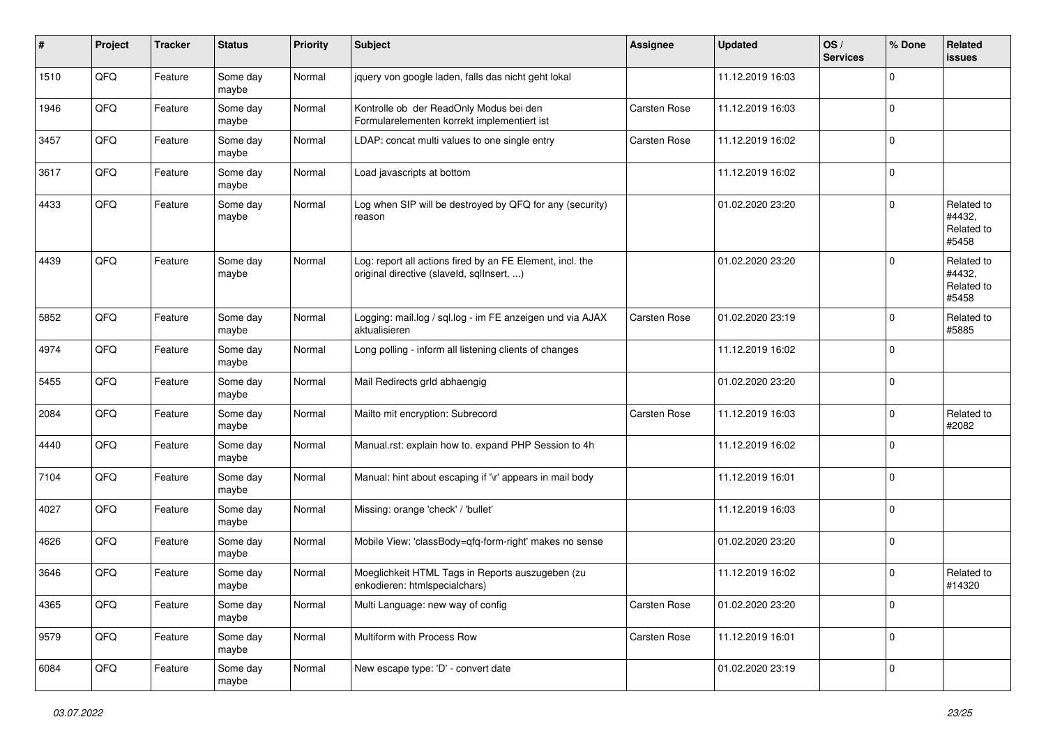| #    | Project | <b>Tracker</b> | <b>Status</b>     | <b>Priority</b> | <b>Subject</b>                                                                                         | <b>Assignee</b> | <b>Updated</b>   | OS/<br><b>Services</b> | % Done      | Related<br><b>issues</b>                    |
|------|---------|----------------|-------------------|-----------------|--------------------------------------------------------------------------------------------------------|-----------------|------------------|------------------------|-------------|---------------------------------------------|
| 1510 | QFQ     | Feature        | Some day<br>maybe | Normal          | jquery von google laden, falls das nicht geht lokal                                                    |                 | 11.12.2019 16:03 |                        | $\mathbf 0$ |                                             |
| 1946 | QFQ     | Feature        | Some day<br>maybe | Normal          | Kontrolle ob der ReadOnly Modus bei den<br>Formularelementen korrekt implementiert ist                 | Carsten Rose    | 11.12.2019 16:03 |                        | $\mathbf 0$ |                                             |
| 3457 | QFQ     | Feature        | Some day<br>maybe | Normal          | LDAP: concat multi values to one single entry                                                          | Carsten Rose    | 11.12.2019 16:02 |                        | 0           |                                             |
| 3617 | QFQ     | Feature        | Some day<br>maybe | Normal          | Load javascripts at bottom                                                                             |                 | 11.12.2019 16:02 |                        | $\mathbf 0$ |                                             |
| 4433 | QFQ     | Feature        | Some day<br>maybe | Normal          | Log when SIP will be destroyed by QFQ for any (security)<br>reason                                     |                 | 01.02.2020 23:20 |                        | $\mathbf 0$ | Related to<br>#4432,<br>Related to<br>#5458 |
| 4439 | QFQ     | Feature        | Some day<br>maybe | Normal          | Log: report all actions fired by an FE Element, incl. the<br>original directive (slaveld, sqllnsert, ) |                 | 01.02.2020 23:20 |                        | $\mathbf 0$ | Related to<br>#4432,<br>Related to<br>#5458 |
| 5852 | QFQ     | Feature        | Some day<br>maybe | Normal          | Logging: mail.log / sql.log - im FE anzeigen und via AJAX<br>aktualisieren                             | Carsten Rose    | 01.02.2020 23:19 |                        | $\mathbf 0$ | Related to<br>#5885                         |
| 4974 | QFQ     | Feature        | Some day<br>maybe | Normal          | Long polling - inform all listening clients of changes                                                 |                 | 11.12.2019 16:02 |                        | $\mathbf 0$ |                                             |
| 5455 | QFQ     | Feature        | Some day<br>maybe | Normal          | Mail Redirects grld abhaengig                                                                          |                 | 01.02.2020 23:20 |                        | $\mathbf 0$ |                                             |
| 2084 | QFQ     | Feature        | Some day<br>maybe | Normal          | Mailto mit encryption: Subrecord                                                                       | Carsten Rose    | 11.12.2019 16:03 |                        | $\mathbf 0$ | Related to<br>#2082                         |
| 4440 | QFQ     | Feature        | Some day<br>maybe | Normal          | Manual.rst: explain how to. expand PHP Session to 4h                                                   |                 | 11.12.2019 16:02 |                        | $\mathbf 0$ |                                             |
| 7104 | QFQ     | Feature        | Some day<br>maybe | Normal          | Manual: hint about escaping if '\r' appears in mail body                                               |                 | 11.12.2019 16:01 |                        | $\mathbf 0$ |                                             |
| 4027 | QFQ     | Feature        | Some day<br>maybe | Normal          | Missing: orange 'check' / 'bullet'                                                                     |                 | 11.12.2019 16:03 |                        | $\mathbf 0$ |                                             |
| 4626 | QFQ     | Feature        | Some day<br>maybe | Normal          | Mobile View: 'classBody=qfq-form-right' makes no sense                                                 |                 | 01.02.2020 23:20 |                        | $\mathbf 0$ |                                             |
| 3646 | QFQ     | Feature        | Some day<br>maybe | Normal          | Moeglichkeit HTML Tags in Reports auszugeben (zu<br>enkodieren: htmlspecialchars)                      |                 | 11.12.2019 16:02 |                        | $\mathbf 0$ | Related to<br>#14320                        |
| 4365 | QFG     | Feature        | Some day<br>maybe | Normal          | Multi Language: new way of config                                                                      | Carsten Rose    | 01.02.2020 23:20 |                        | $\mathsf 0$ |                                             |
| 9579 | QFO     | Feature        | Some day<br>maybe | Normal          | Multiform with Process Row                                                                             | Carsten Rose    | 11.12.2019 16:01 |                        | $\pmb{0}$   |                                             |
| 6084 | QFQ     | Feature        | Some day<br>maybe | Normal          | New escape type: 'D' - convert date                                                                    |                 | 01.02.2020 23:19 |                        | $\pmb{0}$   |                                             |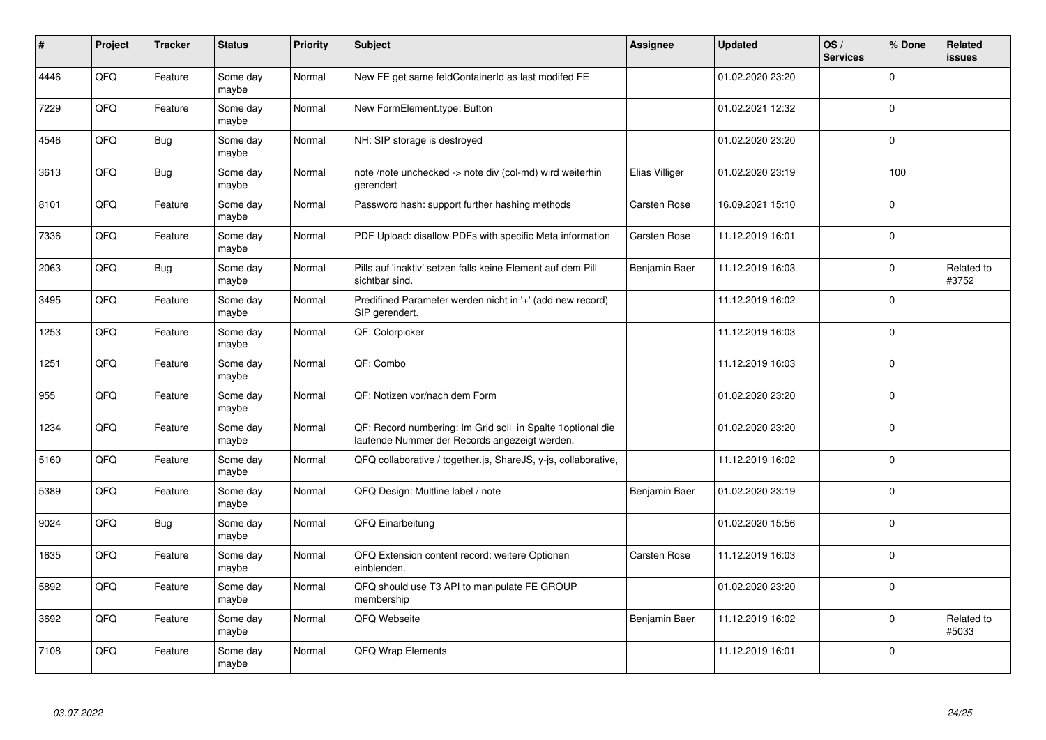| #    | Project | <b>Tracker</b> | <b>Status</b>     | <b>Priority</b> | Subject                                                                                                      | <b>Assignee</b> | <b>Updated</b>   | OS/<br><b>Services</b> | % Done       | <b>Related</b><br><b>issues</b> |
|------|---------|----------------|-------------------|-----------------|--------------------------------------------------------------------------------------------------------------|-----------------|------------------|------------------------|--------------|---------------------------------|
| 4446 | QFQ     | Feature        | Some day<br>maybe | Normal          | New FE get same feldContainerId as last modifed FE                                                           |                 | 01.02.2020 23:20 |                        | $\Omega$     |                                 |
| 7229 | QFQ     | Feature        | Some day<br>maybe | Normal          | New FormElement.type: Button                                                                                 |                 | 01.02.2021 12:32 |                        | $\pmb{0}$    |                                 |
| 4546 | QFQ     | <b>Bug</b>     | Some day<br>maybe | Normal          | NH: SIP storage is destroyed                                                                                 |                 | 01.02.2020 23:20 |                        | $\mathbf 0$  |                                 |
| 3613 | QFQ     | <b>Bug</b>     | Some day<br>maybe | Normal          | note /note unchecked -> note div (col-md) wird weiterhin<br>gerendert                                        | Elias Villiger  | 01.02.2020 23:19 |                        | 100          |                                 |
| 8101 | QFQ     | Feature        | Some day<br>maybe | Normal          | Password hash: support further hashing methods                                                               | Carsten Rose    | 16.09.2021 15:10 |                        | $\mathbf 0$  |                                 |
| 7336 | QFQ     | Feature        | Some dav<br>maybe | Normal          | PDF Upload: disallow PDFs with specific Meta information                                                     | Carsten Rose    | 11.12.2019 16:01 |                        | $\mathbf 0$  |                                 |
| 2063 | QFQ     | <b>Bug</b>     | Some day<br>maybe | Normal          | Pills auf 'inaktiv' setzen falls keine Element auf dem Pill<br>sichtbar sind.                                | Benjamin Baer   | 11.12.2019 16:03 |                        | $\mathbf 0$  | Related to<br>#3752             |
| 3495 | QFQ     | Feature        | Some day<br>maybe | Normal          | Predifined Parameter werden nicht in '+' (add new record)<br>SIP gerendert.                                  |                 | 11.12.2019 16:02 |                        | $\Omega$     |                                 |
| 1253 | QFQ     | Feature        | Some day<br>maybe | Normal          | QF: Colorpicker                                                                                              |                 | 11.12.2019 16:03 |                        | $\mathbf 0$  |                                 |
| 1251 | QFQ     | Feature        | Some day<br>maybe | Normal          | QF: Combo                                                                                                    |                 | 11.12.2019 16:03 |                        | $\mathbf 0$  |                                 |
| 955  | QFQ     | Feature        | Some dav<br>maybe | Normal          | QF: Notizen vor/nach dem Form                                                                                |                 | 01.02.2020 23:20 |                        | $\mathbf 0$  |                                 |
| 1234 | QFQ     | Feature        | Some day<br>maybe | Normal          | QF: Record numbering: Im Grid soll in Spalte 1 optional die<br>laufende Nummer der Records angezeigt werden. |                 | 01.02.2020 23:20 |                        | $\mathbf 0$  |                                 |
| 5160 | QFQ     | Feature        | Some day<br>maybe | Normal          | QFQ collaborative / together.js, ShareJS, y-js, collaborative,                                               |                 | 11.12.2019 16:02 |                        | $\mathbf 0$  |                                 |
| 5389 | QFQ     | Feature        | Some day<br>maybe | Normal          | QFQ Design: Multline label / note                                                                            | Benjamin Baer   | 01.02.2020 23:19 |                        | $\mathbf 0$  |                                 |
| 9024 | QFQ     | <b>Bug</b>     | Some day<br>maybe | Normal          | QFQ Einarbeitung                                                                                             |                 | 01.02.2020 15:56 |                        | $\mathbf 0$  |                                 |
| 1635 | QFQ     | Feature        | Some day<br>maybe | Normal          | QFQ Extension content record: weitere Optionen<br>einblenden.                                                | Carsten Rose    | 11.12.2019 16:03 |                        | $\mathbf{0}$ |                                 |
| 5892 | QFQ     | Feature        | Some day<br>maybe | Normal          | QFQ should use T3 API to manipulate FE GROUP<br>membership                                                   |                 | 01.02.2020 23:20 |                        | $\Omega$     |                                 |
| 3692 | QFQ     | Feature        | Some day<br>maybe | Normal          | QFQ Webseite                                                                                                 | Benjamin Baer   | 11.12.2019 16:02 |                        | $\pmb{0}$    | Related to<br>#5033             |
| 7108 | QFQ     | Feature        | Some day<br>maybe | Normal          | QFQ Wrap Elements                                                                                            |                 | 11.12.2019 16:01 |                        | $\Omega$     |                                 |